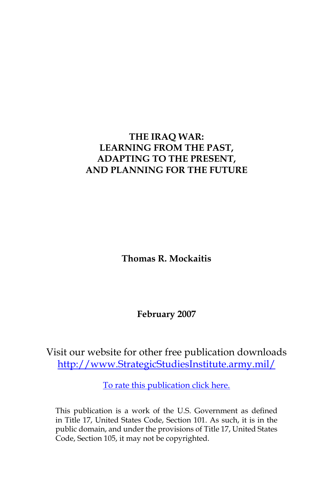# **THE IRAQ WAR: LEARNING FROM THE PAST, ADAPTING TO THE PRESENT, AND PLANNING FOR THE FUTURE**

**Thomas R. Mockaitis**

**February 2007**

Visit our website for other free publication downloads [http://www.StrategicStudiesInstitute.army.mil/](http://www.StrategicStudiesInstitute.army.mil)

[To rate this publication click here.](http://www.strategicstudiesinstitute.army.mil/pubs/display.cfm?pubID=754)

This publication is a work of the U.S. Government as defined in Title 17, United States Code, Section 101. As such, it is in the public domain, and under the provisions of Title 17, United States Code, Section 105, it may not be copyrighted.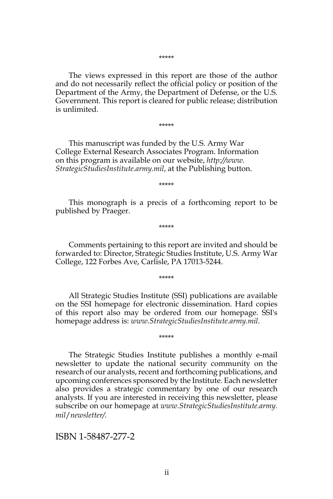The views expressed in this report are those of the author and do not necessarily reflect the official policy or position of the Department of the Army, the Department of Defense, or the U.S. Government. This report is cleared for public release; distribution is unlimited.

#### \*\*\*\*\*

This manuscript was funded by the U.S. Army War College External Research Associates Program. Information on this program is available on our website, *http://www. StrategicStudiesInstitute.army.mil*, at the Publishing button.

\*\*\*\*\*

This monograph is a precis of a forthcoming report to be published by Praeger.

\*\*\*\*\*

Comments pertaining to this report are invited and should be forwarded to: Director, Strategic Studies Institute, U.S. Army War College, 122 Forbes Ave, Carlisle, PA 17013-5244.

\*\*\*\*\*

All Strategic Studies Institute (SSI) publications are available on the SSI homepage for electronic dissemination. Hard copies of this report also may be ordered from our homepage. SSI's homepage address is: *www.StrategicStudiesInstitute.army.mil*.

\*\*\*\*\*

The Strategic Studies Institute publishes a monthly e-mail newsletter to update the national security community on the research of our analysts, recent and forthcoming publications, and upcoming conferences sponsored by the Institute. Each newsletter also provides a strategic commentary by one of our research analysts. If you are interested in receiving this newsletter, please subscribe on our homepage at *www.StrategicStudiesInstitute.army. mil*/*newsletter/.*

ISBN 1-58487-277-2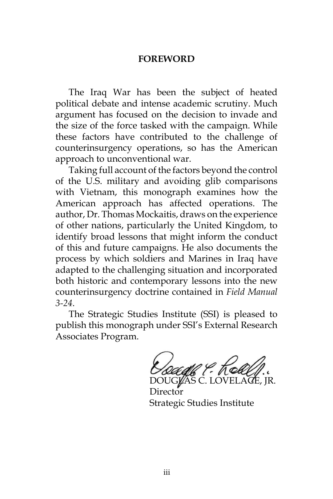#### **FOREWORD**

The Iraq War has been the subject of heated political debate and intense academic scrutiny. Much argument has focused on the decision to invade and the size of the force tasked with the campaign. While these factors have contributed to the challenge of counterinsurgency operations, so has the American approach to unconventional war.

Taking full account of the factors beyond the control of the U.S. military and avoiding glib comparisons with Vietnam, this monograph examines how the American approach has affected operations. The author, Dr. Thomas Mockaitis, draws on the experience of other nations, particularly the United Kingdom, to identify broad lessons that might inform the conduct of this and future campaigns. He also documents the process by which soldiers and Marines in Iraq have adapted to the challenging situation and incorporated both historic and contemporary lessons into the new counterinsurgency doctrine contained in *Field Manual 3-24*.

The Strategic Studies Institute (SSI) is pleased to publish this monograph under SSI's External Research Associates Program.

DOUG**l⁄**AS C. LOVELAŒ, JR.

Director Strategic Studies Institute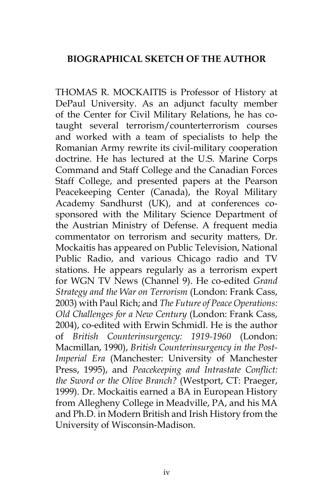## **BIOGRAPHICAL SKETCH OF THE AUTHOR**

THOMAS R. MOCKAITIS is Professor of History at DePaul University. As an adjunct faculty member of the Center for Civil Military Relations, he has cotaught several terrorism/counterterrorism courses and worked with a team of specialists to help the Romanian Army rewrite its civil-military cooperation doctrine. He has lectured at the U.S. Marine Corps Command and Staff College and the Canadian Forces Staff College, and presented papers at the Pearson Peacekeeping Center (Canada), the Royal Military Academy Sandhurst (UK), and at conferences cosponsored with the Military Science Department of the Austrian Ministry of Defense. A frequent media commentator on terrorism and security matters, Dr. Mockaitis has appeared on Public Television, National Public Radio, and various Chicago radio and TV stations. He appears regularly as a terrorism expert for WGN TV News (Channel 9). He co-edited *Grand Strategy and the War on Terrorism* (London: Frank Cass, 2003) with Paul Rich; and *The Future of Peace Operations: Old Challenges for a New Century* (London: Frank Cass, 2004), co-edited with Erwin Schmidl. He is the author of *British Counterinsurgency: 1919-1960* (London: Macmillan, 1990), *British Counterinsurgency in the Post-Imperial Era* (Manchester: University of Manchester Press, 1995), and *Peacekeeping and Intrastate Conflict: the Sword or the Olive Branch?* (Westport, CT: Praeger, 1999). Dr. Mockaitis earned a BA in European History from Allegheny College in Meadville, PA, and his MA and Ph.D. in Modern British and Irish History from the University of Wisconsin-Madison.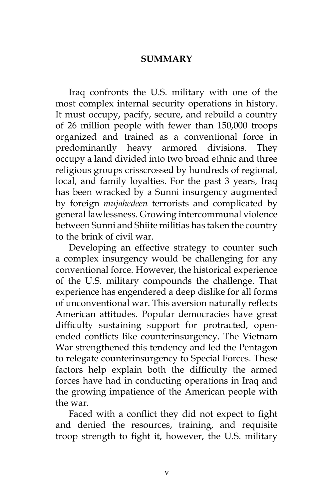#### **SUMMARY**

Iraq confronts the U.S. military with one of the most complex internal security operations in history. It must occupy, pacify, secure, and rebuild a country of 26 million people with fewer than 150,000 troops organized and trained as a conventional force in predominantly heavy armored divisions. They occupy a land divided into two broad ethnic and three religious groups crisscrossed by hundreds of regional, local, and family loyalties. For the past 3 years, Iraq has been wracked by a Sunni insurgency augmented by foreign *mujahedeen* terrorists and complicated by general lawlessness. Growing intercommunal violence between Sunni and Shiite militias has taken the country to the brink of civil war.

Developing an effective strategy to counter such a complex insurgency would be challenging for any conventional force. However, the historical experience of the U.S. military compounds the challenge. That experience has engendered a deep dislike for all forms of unconventional war. This aversion naturally reflects American attitudes. Popular democracies have great difficulty sustaining support for protracted, openended conflicts like counterinsurgency. The Vietnam War strengthened this tendency and led the Pentagon to relegate counterinsurgency to Special Forces. These factors help explain both the difficulty the armed forces have had in conducting operations in Iraq and the growing impatience of the American people with the war.

Faced with a conflict they did not expect to fight and denied the resources, training, and requisite troop strength to fight it, however, the U.S. military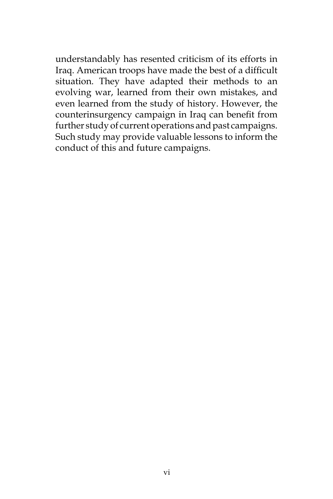understandably has resented criticism of its efforts in Iraq. American troops have made the best of a difficult situation. They have adapted their methods to an evolving war, learned from their own mistakes, and even learned from the study of history. However, the counterinsurgency campaign in Iraq can benefit from further study of current operations and past campaigns. Such study may provide valuable lessons to inform the conduct of this and future campaigns.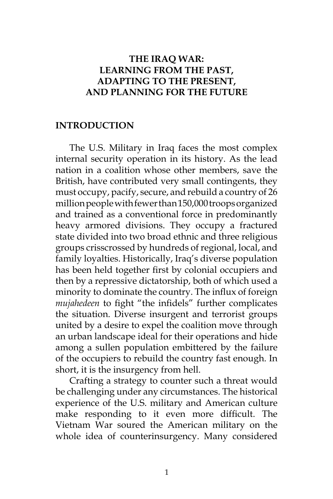## **THE IRAQ WAR: LEARNING FROM THE PAST, ADAPTING TO THE PRESENT, AND PLANNING FOR THE FUTURE**

#### **INTRODUCTION**

The U.S. Military in Iraq faces the most complex internal security operation in its history. As the lead nation in a coalition whose other members, save the British, have contributed very small contingents, they must occupy, pacify, secure, and rebuild a country of 26 million people with fewer than 150,000 troops organized and trained as a conventional force in predominantly heavy armored divisions. They occupy a fractured state divided into two broad ethnic and three religious groups crisscrossed by hundreds of regional, local, and family loyalties. Historically, Iraq's diverse population has been held together first by colonial occupiers and then by a repressive dictatorship, both of which used a minority to dominate the country. The influx of foreign *mujahedeen* to fight "the infidels" further complicates the situation. Diverse insurgent and terrorist groups united by a desire to expel the coalition move through an urban landscape ideal for their operations and hide among a sullen population embittered by the failure of the occupiers to rebuild the country fast enough. In short, it is the insurgency from hell.

Crafting a strategy to counter such a threat would be challenging under any circumstances. The historical experience of the U.S. military and American culture make responding to it even more difficult. The Vietnam War soured the American military on the whole idea of counterinsurgency. Many considered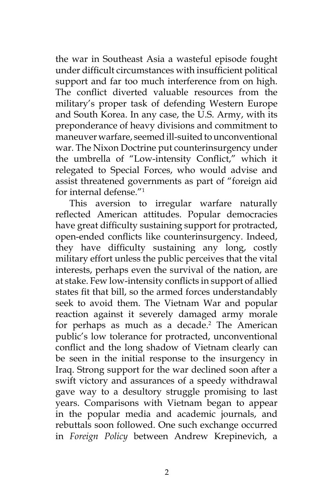the war in Southeast Asia a wasteful episode fought under difficult circumstances with insufficient political support and far too much interference from on high. The conflict diverted valuable resources from the military's proper task of defending Western Europe and South Korea. In any case, the U.S. Army, with its preponderance of heavy divisions and commitment to maneuver warfare, seemed ill-suited to unconventional war. The Nixon Doctrine put counterinsurgency under the umbrella of "Low-intensity Conflict," which it relegated to Special Forces, who would advise and assist threatened governments as part of "foreign aid for internal defense."<sup>1</sup>

This aversion to irregular warfare naturally reflected American attitudes. Popular democracies have great difficulty sustaining support for protracted, open-ended conflicts like counterinsurgency. Indeed, they have difficulty sustaining any long, costly military effort unless the public perceives that the vital interests, perhaps even the survival of the nation, are at stake. Few low-intensity conflicts in support of allied states fit that bill, so the armed forces understandably seek to avoid them. The Vietnam War and popular reaction against it severely damaged army morale for perhaps as much as a decade.<sup>2</sup> The American public's low tolerance for protracted, unconventional conflict and the long shadow of Vietnam clearly can be seen in the initial response to the insurgency in Iraq. Strong support for the war declined soon after a swift victory and assurances of a speedy withdrawal gave way to a desultory struggle promising to last years. Comparisons with Vietnam began to appear in the popular media and academic journals, and rebuttals soon followed. One such exchange occurred in *Foreign Policy* between Andrew Krepinevich, a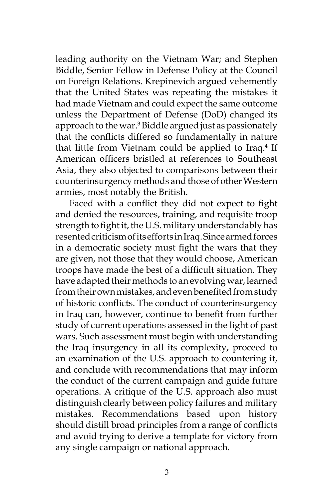leading authority on the Vietnam War; and Stephen Biddle, Senior Fellow in Defense Policy at the Council on Foreign Relations. Krepinevich argued vehemently that the United States was repeating the mistakes it had made Vietnam and could expect the same outcome unless the Department of Defense (DoD) changed its approach to the war.<sup>3</sup> Biddle argued just as passionately that the conflicts differed so fundamentally in nature that little from Vietnam could be applied to Iraq.<sup>4</sup> If American officers bristled at references to Southeast Asia, they also objected to comparisons between their counterinsurgency methods and those of other Western armies, most notably the British.

Faced with a conflict they did not expect to fight and denied the resources, training, and requisite troop strength to fight it, the U.S. military understandably has resented criticism of its efforts in Iraq. Since armed forces in a democratic society must fight the wars that they are given, not those that they would choose, American troops have made the best of a difficult situation. They have adapted their methods to an evolving war, learned from their own mistakes, and even benefited from study of historic conflicts. The conduct of counterinsurgency in Iraq can, however, continue to benefit from further study of current operations assessed in the light of past wars. Such assessment must begin with understanding the Iraq insurgency in all its complexity, proceed to an examination of the U.S. approach to countering it, and conclude with recommendations that may inform the conduct of the current campaign and guide future operations. A critique of the U.S. approach also must distinguish clearly between policy failures and military mistakes. Recommendations based upon history should distill broad principles from a range of conflicts and avoid trying to derive a template for victory from any single campaign or national approach.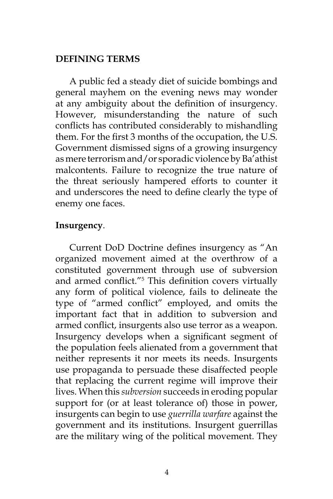#### **DEFINING TERMS**

A public fed a steady diet of suicide bombings and general mayhem on the evening news may wonder at any ambiguity about the definition of insurgency. However, misunderstanding the nature of such conflicts has contributed considerably to mishandling them. For the first 3 months of the occupation, the U.S. Government dismissed signs of a growing insurgency as mere terrorism and/or sporadic violence by Ba'athist malcontents. Failure to recognize the true nature of the threat seriously hampered efforts to counter it and underscores the need to define clearly the type of enemy one faces.

#### **Insurgency**.

Current DoD Doctrine defines insurgency as "An organized movement aimed at the overthrow of a constituted government through use of subversion and armed conflict."<sup>5</sup> This definition covers virtually any form of political violence, fails to delineate the type of "armed conflict" employed, and omits the important fact that in addition to subversion and armed conflict, insurgents also use terror as a weapon. Insurgency develops when a significant segment of the population feels alienated from a government that neither represents it nor meets its needs. Insurgents use propaganda to persuade these disaffected people that replacing the current regime will improve their lives. When this *subversion* succeeds in eroding popular support for (or at least tolerance of) those in power, insurgents can begin to use *guerrilla warfare* against the government and its institutions. Insurgent guerrillas are the military wing of the political movement. They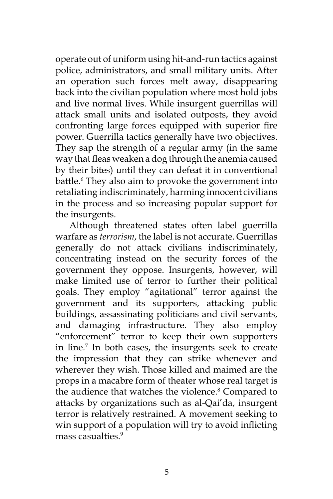operate out of uniform using hit-and-run tactics against police, administrators, and small military units. After an operation such forces melt away, disappearing back into the civilian population where most hold jobs and live normal lives. While insurgent guerrillas will attack small units and isolated outposts, they avoid confronting large forces equipped with superior fire power. Guerrilla tactics generally have two objectives. They sap the strength of a regular army (in the same way that fleas weaken a dog through the anemia caused by their bites) until they can defeat it in conventional battle.<sup>6</sup> They also aim to provoke the government into retaliating indiscriminately, harming innocent civilians in the process and so increasing popular support for the insurgents.

Although threatened states often label guerrilla warfare as *terrorism*, the label is not accurate. Guerrillas generally do not attack civilians indiscriminately, concentrating instead on the security forces of the government they oppose. Insurgents, however, will make limited use of terror to further their political goals. They employ "agitational" terror against the government and its supporters, attacking public buildings, assassinating politicians and civil servants, and damaging infrastructure. They also employ "enforcement" terror to keep their own supporters in line.7 In both cases, the insurgents seek to create the impression that they can strike whenever and wherever they wish. Those killed and maimed are the props in a macabre form of theater whose real target is the audience that watches the violence.<sup>8</sup> Compared to attacks by organizations such as al-Qai'da, insurgent terror is relatively restrained. A movement seeking to win support of a population will try to avoid inflicting mass casualties.<sup>9</sup>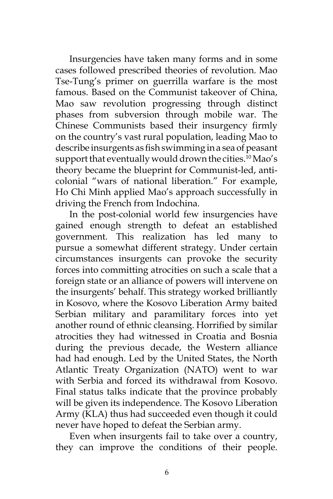Insurgencies have taken many forms and in some cases followed prescribed theories of revolution. Mao Tse-Tung's primer on guerrilla warfare is the most famous. Based on the Communist takeover of China, Mao saw revolution progressing through distinct phases from subversion through mobile war. The Chinese Communists based their insurgency firmly on the country's vast rural population, leading Mao to describe insurgents as fish swimming in a sea of peasant support that eventually would drown the cities.<sup>10</sup> Mao's theory became the blueprint for Communist-led, anticolonial "wars of national liberation." For example, Ho Chi Minh applied Mao's approach successfully in driving the French from Indochina.

In the post-colonial world few insurgencies have gained enough strength to defeat an established government. This realization has led many to pursue a somewhat different strategy. Under certain circumstances insurgents can provoke the security forces into committing atrocities on such a scale that a foreign state or an alliance of powers will intervene on the insurgents' behalf. This strategy worked brilliantly in Kosovo, where the Kosovo Liberation Army baited Serbian military and paramilitary forces into yet another round of ethnic cleansing. Horrified by similar atrocities they had witnessed in Croatia and Bosnia during the previous decade, the Western alliance had had enough. Led by the United States, the North Atlantic Treaty Organization (NATO) went to war with Serbia and forced its withdrawal from Kosovo. Final status talks indicate that the province probably will be given its independence. The Kosovo Liberation Army (KLA) thus had succeeded even though it could never have hoped to defeat the Serbian army.

Even when insurgents fail to take over a country, they can improve the conditions of their people.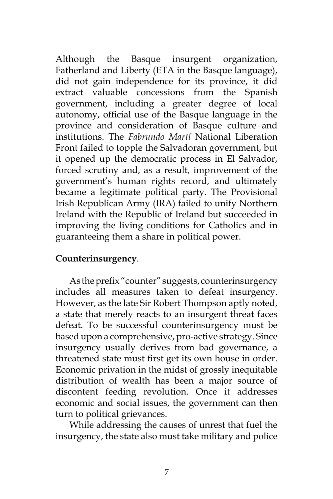Although the Basque insurgent organization, Fatherland and Liberty (ETA in the Basque language), did not gain independence for its province, it did extract valuable concessions from the Spanish government, including a greater degree of local autonomy, official use of the Basque language in the province and consideration of Basque culture and institutions. The *Fabrundo Martí* National Liberation Front failed to topple the Salvadoran government, but it opened up the democratic process in El Salvador, forced scrutiny and, as a result, improvement of the government's human rights record, and ultimately became a legitimate political party. The Provisional Irish Republican Army (IRA) failed to unify Northern Ireland with the Republic of Ireland but succeeded in improving the living conditions for Catholics and in guaranteeing them a share in political power.

## **Counterinsurgency**.

As the prefix "counter" suggests, counterinsurgency includes all measures taken to defeat insurgency. However, as the late Sir Robert Thompson aptly noted, a state that merely reacts to an insurgent threat faces defeat. To be successful counterinsurgency must be based upon a comprehensive, pro-active strategy. Since insurgency usually derives from bad governance, a threatened state must first get its own house in order. Economic privation in the midst of grossly inequitable distribution of wealth has been a major source of discontent feeding revolution. Once it addresses economic and social issues, the government can then turn to political grievances.

While addressing the causes of unrest that fuel the insurgency, the state also must take military and police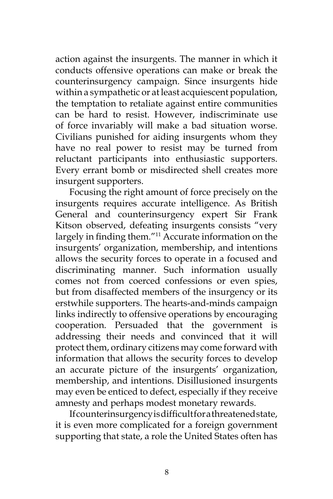action against the insurgents. The manner in which it conducts offensive operations can make or break the counterinsurgency campaign. Since insurgents hide within a sympathetic or at least acquiescent population, the temptation to retaliate against entire communities can be hard to resist. However, indiscriminate use of force invariably will make a bad situation worse. Civilians punished for aiding insurgents whom they have no real power to resist may be turned from reluctant participants into enthusiastic supporters. Every errant bomb or misdirected shell creates more insurgent supporters.

Focusing the right amount of force precisely on the insurgents requires accurate intelligence. As British General and counterinsurgency expert Sir Frank Kitson observed, defeating insurgents consists "very largely in finding them."<sup>11</sup> Accurate information on the insurgents' organization, membership, and intentions allows the security forces to operate in a focused and discriminating manner. Such information usually comes not from coerced confessions or even spies, but from disaffected members of the insurgency or its erstwhile supporters. The hearts-and-minds campaign links indirectly to offensive operations by encouraging cooperation. Persuaded that the government is addressing their needs and convinced that it will protect them, ordinary citizens may come forward with information that allows the security forces to develop an accurate picture of the insurgents' organization, membership, and intentions. Disillusioned insurgents may even be enticed to defect, especially if they receive amnesty and perhaps modest monetary rewards.

If counterinsurgency is difficult for a threatened state, it is even more complicated for a foreign government supporting that state, a role the United States often has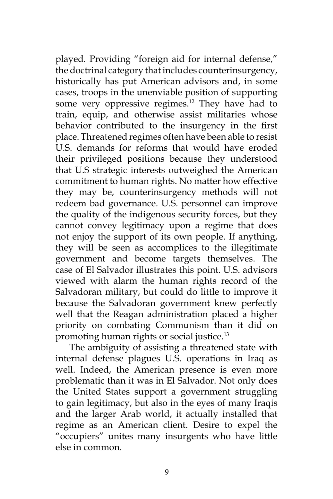played. Providing "foreign aid for internal defense," the doctrinal category that includes counterinsurgency, historically has put American advisors and, in some cases, troops in the unenviable position of supporting some very oppressive regimes.<sup>12</sup> They have had to train, equip, and otherwise assist militaries whose behavior contributed to the insurgency in the first place. Threatened regimes often have been able to resist U.S. demands for reforms that would have eroded their privileged positions because they understood that U.S strategic interests outweighed the American commitment to human rights. No matter how effective they may be, counterinsurgency methods will not redeem bad governance. U.S. personnel can improve the quality of the indigenous security forces, but they cannot convey legitimacy upon a regime that does not enjoy the support of its own people. If anything, they will be seen as accomplices to the illegitimate government and become targets themselves. The case of El Salvador illustrates this point. U.S. advisors viewed with alarm the human rights record of the Salvadoran military, but could do little to improve it because the Salvadoran government knew perfectly well that the Reagan administration placed a higher priority on combating Communism than it did on promoting human rights or social justice.13

The ambiguity of assisting a threatened state with internal defense plagues U.S. operations in Iraq as well. Indeed, the American presence is even more problematic than it was in El Salvador. Not only does the United States support a government struggling to gain legitimacy, but also in the eyes of many Iraqis and the larger Arab world, it actually installed that regime as an American client. Desire to expel the "occupiers" unites many insurgents who have little else in common.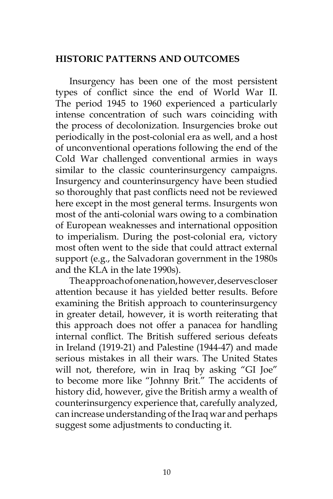#### **HISTORIC PATTERNS AND OUTCOMES**

Insurgency has been one of the most persistent types of conflict since the end of World War II. The period 1945 to 1960 experienced a particularly intense concentration of such wars coinciding with the process of decolonization. Insurgencies broke out periodically in the post-colonial era as well, and a host of unconventional operations following the end of the Cold War challenged conventional armies in ways similar to the classic counterinsurgency campaigns. Insurgency and counterinsurgency have been studied so thoroughly that past conflicts need not be reviewed here except in the most general terms. Insurgents won most of the anti-colonial wars owing to a combination of European weaknesses and international opposition to imperialism. During the post-colonial era, victory most often went to the side that could attract external support (e.g., the Salvadoran government in the 1980s and the KLA in the late 1990s).

The approach of one nation, however, deserves closer attention because it has yielded better results. Before examining the British approach to counterinsurgency in greater detail, however, it is worth reiterating that this approach does not offer a panacea for handling internal conflict. The British suffered serious defeats in Ireland (1919-21) and Palestine (1944-47) and made serious mistakes in all their wars. The United States will not, therefore, win in Iraq by asking "GI Joe" to become more like "Johnny Brit." The accidents of history did, however, give the British army a wealth of counterinsurgency experience that, carefully analyzed, can increase understanding of the Iraq war and perhaps suggest some adjustments to conducting it.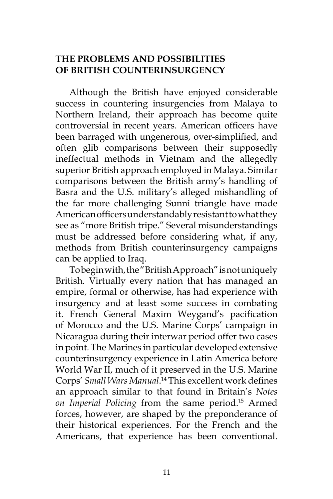# **THE PROBLEMS AND POSSIBILITIES OF BRITISH COUNTERINSURGENCY**

Although the British have enjoyed considerable success in countering insurgencies from Malaya to Northern Ireland, their approach has become quite controversial in recent years. American officers have been barraged with ungenerous, over-simplified, and often glib comparisons between their supposedly ineffectual methods in Vietnam and the allegedly superior British approach employed in Malaya. Similar comparisons between the British army's handling of Basra and the U.S. military's alleged mishandling of the far more challenging Sunni triangle have made American officers understandably resistant to what they see as "more British tripe." Several misunderstandings must be addressed before considering what, if any, methods from British counterinsurgency campaigns can be applied to Iraq.

To begin with, the "British Approach" is not uniquely British. Virtually every nation that has managed an empire, formal or otherwise, has had experience with insurgency and at least some success in combating it. French General Maxim Weygand's pacification of Morocco and the U.S. Marine Corps' campaign in Nicaragua during their interwar period offer two cases in point. The Marines in particular developed extensive counterinsurgency experience in Latin America before World War II, much of it preserved in the U.S. Marine Corps' *Small Wars Manual*. <sup>14</sup> This excellent work defines an approach similar to that found in Britain's *Notes on Imperial Policing* from the same period.15 Armed forces, however, are shaped by the preponderance of their historical experiences. For the French and the Americans, that experience has been conventional.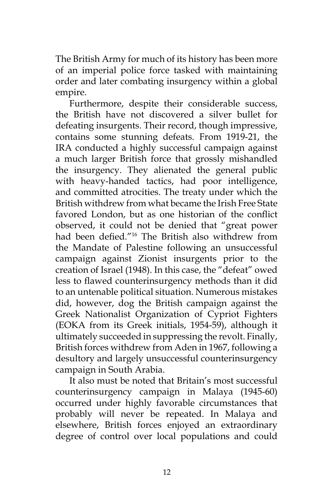The British Army for much of its history has been more of an imperial police force tasked with maintaining order and later combating insurgency within a global empire.

Furthermore, despite their considerable success, the British have not discovered a silver bullet for defeating insurgents. Their record, though impressive, contains some stunning defeats. From 1919-21, the IRA conducted a highly successful campaign against a much larger British force that grossly mishandled the insurgency. They alienated the general public with heavy-handed tactics, had poor intelligence, and committed atrocities. The treaty under which the British withdrew from what became the Irish Free State favored London, but as one historian of the conflict observed, it could not be denied that "great power had been defied."16 The British also withdrew from the Mandate of Palestine following an unsuccessful campaign against Zionist insurgents prior to the creation of Israel (1948). In this case, the "defeat" owed less to flawed counterinsurgency methods than it did to an untenable political situation. Numerous mistakes did, however, dog the British campaign against the Greek Nationalist Organization of Cypriot Fighters (EOKA from its Greek initials, 1954-59), although it ultimately succeeded in suppressing the revolt. Finally, British forces withdrew from Aden in 1967, following a desultory and largely unsuccessful counterinsurgency campaign in South Arabia.

It also must be noted that Britain's most successful counterinsurgency campaign in Malaya (1945-60) occurred under highly favorable circumstances that probably will never be repeated. In Malaya and elsewhere, British forces enjoyed an extraordinary degree of control over local populations and could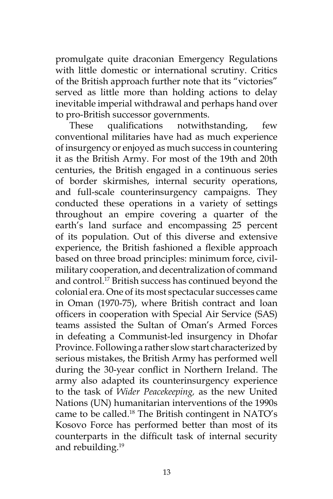promulgate quite draconian Emergency Regulations with little domestic or international scrutiny. Critics of the British approach further note that its "victories" served as little more than holding actions to delay inevitable imperial withdrawal and perhaps hand over to pro-British successor governments.

These qualifications notwithstanding, few conventional militaries have had as much experience of insurgency or enjoyed as much success in countering it as the British Army. For most of the 19th and 20th centuries, the British engaged in a continuous series of border skirmishes, internal security operations, and full-scale counterinsurgency campaigns. They conducted these operations in a variety of settings throughout an empire covering a quarter of the earth's land surface and encompassing 25 percent of its population. Out of this diverse and extensive experience, the British fashioned a flexible approach based on three broad principles: minimum force, civilmilitary cooperation, and decentralization of command and control.<sup>17</sup> British success has continued beyond the colonial era. One of its most spectacular successes came in Oman (1970-75), where British contract and loan officers in cooperation with Special Air Service (SAS) teams assisted the Sultan of Oman's Armed Forces in defeating a Communist-led insurgency in Dhofar Province. Following a rather slow start characterized by serious mistakes, the British Army has performed well during the 30-year conflict in Northern Ireland. The army also adapted its counterinsurgency experience to the task of *Wider Peacekeeping,* as the new United Nations (UN) humanitarian interventions of the 1990s came to be called.<sup>18</sup> The British contingent in NATO's Kosovo Force has performed better than most of its counterparts in the difficult task of internal security and rebuilding.<sup>19</sup>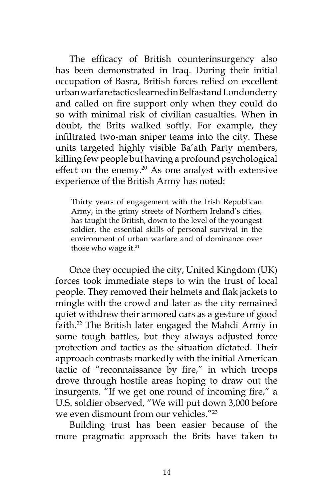The efficacy of British counterinsurgency also has been demonstrated in Iraq. During their initial occupation of Basra, British forces relied on excellent urban warfare tactics learned in Belfast and Londonderry and called on fire support only when they could do so with minimal risk of civilian casualties. When in doubt, the Brits walked softly. For example, they infiltrated two-man sniper teams into the city. These units targeted highly visible Ba'ath Party members, killing few people but having a profound psychological effect on the enemy.<sup>20</sup> As one analyst with extensive experience of the British Army has noted:

Thirty years of engagement with the Irish Republican Army, in the grimy streets of Northern Ireland's cities, has taught the British, down to the level of the youngest soldier, the essential skills of personal survival in the environment of urban warfare and of dominance over those who wage it.<sup>21</sup>

Once they occupied the city, United Kingdom (UK) forces took immediate steps to win the trust of local people. They removed their helmets and flak jackets to mingle with the crowd and later as the city remained quiet withdrew their armored cars as a gesture of good faith.<sup>22</sup> The British later engaged the Mahdi Army in some tough battles, but they always adjusted force protection and tactics as the situation dictated. Their approach contrasts markedly with the initial American tactic of "reconnaissance by fire," in which troops drove through hostile areas hoping to draw out the insurgents. "If we get one round of incoming fire," a U.S. soldier observed, "We will put down 3,000 before we even dismount from our vehicles."<sup>23</sup>

Building trust has been easier because of the more pragmatic approach the Brits have taken to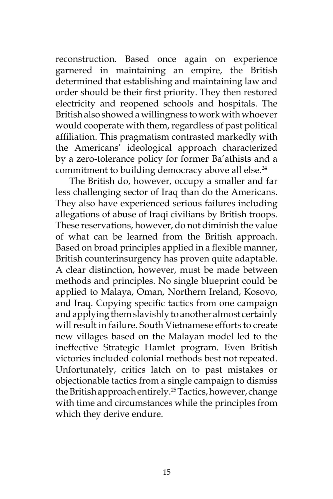reconstruction. Based once again on experience garnered in maintaining an empire, the British determined that establishing and maintaining law and order should be their first priority. They then restored electricity and reopened schools and hospitals. The British also showed a willingness to work with whoever would cooperate with them, regardless of past political affiliation. This pragmatism contrasted markedly with the Americans' ideological approach characterized by a zero-tolerance policy for former Ba'athists and a commitment to building democracy above all else.<sup>24</sup>

The British do, however, occupy a smaller and far less challenging sector of Iraq than do the Americans. They also have experienced serious failures including allegations of abuse of Iraqi civilians by British troops. These reservations, however, do not diminish the value of what can be learned from the British approach. Based on broad principles applied in a flexible manner, British counterinsurgency has proven quite adaptable. A clear distinction, however, must be made between methods and principles. No single blueprint could be applied to Malaya, Oman, Northern Ireland, Kosovo, and Iraq. Copying specific tactics from one campaign and applying them slavishly to another almost certainly will result in failure. South Vietnamese efforts to create new villages based on the Malayan model led to the ineffective Strategic Hamlet program. Even British victories included colonial methods best not repeated. Unfortunately, critics latch on to past mistakes or objectionable tactics from a single campaign to dismiss the British approach entirely.25 Tactics, however, change with time and circumstances while the principles from which they derive endure.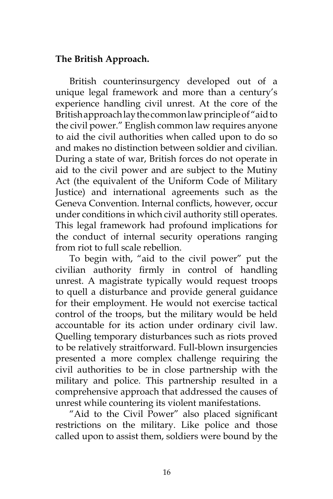## **The British Approach.**

British counterinsurgency developed out of a unique legal framework and more than a century's experience handling civil unrest. At the core of the British approach lay the common law principle of "aid to the civil power." English common law requires anyone to aid the civil authorities when called upon to do so and makes no distinction between soldier and civilian. During a state of war, British forces do not operate in aid to the civil power and are subject to the Mutiny Act (the equivalent of the Uniform Code of Military Justice) and international agreements such as the Geneva Convention. Internal conflicts, however, occur under conditions in which civil authority still operates. This legal framework had profound implications for the conduct of internal security operations ranging from riot to full scale rebellion.

To begin with, "aid to the civil power" put the civilian authority firmly in control of handling unrest. A magistrate typically would request troops to quell a disturbance and provide general guidance for their employment. He would not exercise tactical control of the troops, but the military would be held accountable for its action under ordinary civil law. Quelling temporary disturbances such as riots proved to be relatively straitforward. Full-blown insurgencies presented a more complex challenge requiring the civil authorities to be in close partnership with the military and police. This partnership resulted in a comprehensive approach that addressed the causes of unrest while countering its violent manifestations.

"Aid to the Civil Power" also placed significant restrictions on the military. Like police and those called upon to assist them, soldiers were bound by the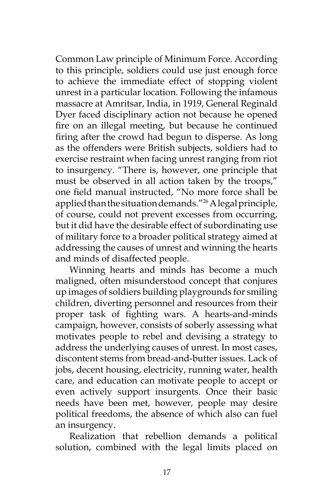Common Law principle of Minimum Force. According to this principle, soldiers could use just enough force to achieve the immediate effect of stopping violent unrest in a particular location. Following the infamous massacre at Amritsar, India, in 1919, General Reginald Dyer faced disciplinary action not because he opened fire on an illegal meeting, but because he continued firing after the crowd had begun to disperse. As long as the offenders were British subjects, soldiers had to exercise restraint when facing unrest ranging from riot to insurgency. "There is, however, one principle that must be observed in all action taken by the troops," one field manual instructed, "No more force shall be applied than the situation demands."26 A legal principle, of course, could not prevent excesses from occurring, but it did have the desirable effect of subordinating use of military force to a broader political strategy aimed at addressing the causes of unrest and winning the hearts and minds of disaffected people.

Winning hearts and minds has become a much maligned, often misunderstood concept that conjures up images of soldiers building playgrounds for smiling children, diverting personnel and resources from their proper task of fighting wars. A hearts-and-minds campaign, however, consists of soberly assessing what motivates people to rebel and devising a strategy to address the underlying causes of unrest. In most cases, discontent stems from bread-and-butter issues. Lack of jobs, decent housing, electricity, running water, health care, and education can motivate people to accept or even actively support insurgents. Once their basic needs have been met, however, people may desire political freedoms, the absence of which also can fuel an insurgency.

Realization that rebellion demands a political solution, combined with the legal limits placed on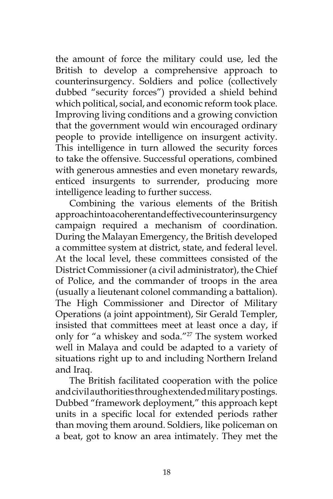the amount of force the military could use, led the British to develop a comprehensive approach to counterinsurgency. Soldiers and police (collectively dubbed "security forces") provided a shield behind which political, social, and economic reform took place. Improving living conditions and a growing conviction that the government would win encouraged ordinary people to provide intelligence on insurgent activity. This intelligence in turn allowed the security forces to take the offensive. Successful operations, combined with generous amnesties and even monetary rewards, enticed insurgents to surrender, producing more intelligence leading to further success.

Combining the various elements of the British approach into a coherent and effective counterinsurgency campaign required a mechanism of coordination. During the Malayan Emergency, the British developed a committee system at district, state, and federal level. At the local level, these committees consisted of the District Commissioner (a civil administrator), the Chief of Police, and the commander of troops in the area (usually a lieutenant colonel commanding a battalion). The High Commissioner and Director of Military Operations (a joint appointment), Sir Gerald Templer, insisted that committees meet at least once a day, if only for "a whiskey and soda."27 The system worked well in Malaya and could be adapted to a variety of situations right up to and including Northern Ireland and Iraq.

The British facilitated cooperation with the police and civil authorities through extended military postings. Dubbed "framework deployment," this approach kept units in a specific local for extended periods rather than moving them around. Soldiers, like policeman on a beat, got to know an area intimately. They met the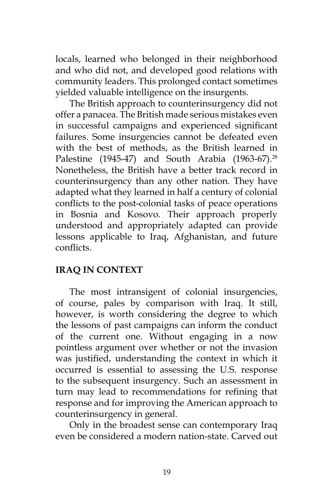locals, learned who belonged in their neighborhood and who did not, and developed good relations with community leaders. This prolonged contact sometimes yielded valuable intelligence on the insurgents.

The British approach to counterinsurgency did not offer a panacea. The British made serious mistakes even in successful campaigns and experienced significant failures. Some insurgencies cannot be defeated even with the best of methods, as the British learned in Palestine (1945-47) and South Arabia (1963-67).<sup>28</sup> Nonetheless, the British have a better track record in counterinsurgency than any other nation. They have adapted what they learned in half a century of colonial conflicts to the post-colonial tasks of peace operations in Bosnia and Kosovo. Their approach properly understood and appropriately adapted can provide lessons applicable to Iraq, Afghanistan, and future conflicts.

# **IRAQ IN CONTEXT**

The most intransigent of colonial insurgencies, of course, pales by comparison with Iraq. It still, however, is worth considering the degree to which the lessons of past campaigns can inform the conduct of the current one. Without engaging in a now pointless argument over whether or not the invasion was justified, understanding the context in which it occurred is essential to assessing the U.S. response to the subsequent insurgency. Such an assessment in turn may lead to recommendations for refining that response and for improving the American approach to counterinsurgency in general.

Only in the broadest sense can contemporary Iraq even be considered a modern nation-state. Carved out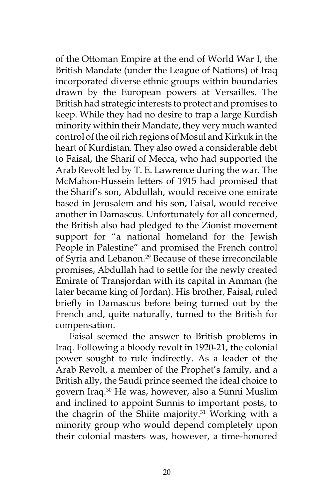of the Ottoman Empire at the end of World War I, the British Mandate (under the League of Nations) of Iraq incorporated diverse ethnic groups within boundaries drawn by the European powers at Versailles. The British had strategic interests to protect and promises to keep. While they had no desire to trap a large Kurdish minority within their Mandate, they very much wanted control of the oil rich regions of Mosul and Kirkuk in the heart of Kurdistan. They also owed a considerable debt to Faisal, the Sharif of Mecca, who had supported the Arab Revolt led by T. E. Lawrence during the war. The McMahon-Hussein letters of 1915 had promised that the Sharif's son, Abdullah, would receive one emirate based in Jerusalem and his son, Faisal, would receive another in Damascus. Unfortunately for all concerned, the British also had pledged to the Zionist movement support for "a national homeland for the Jewish People in Palestine" and promised the French control of Syria and Lebanon.<sup>29</sup> Because of these irreconcilable promises, Abdullah had to settle for the newly created Emirate of Transjordan with its capital in Amman (he later became king of Jordan). His brother, Faisal, ruled briefly in Damascus before being turned out by the French and, quite naturally, turned to the British for compensation.

Faisal seemed the answer to British problems in Iraq. Following a bloody revolt in 1920-21, the colonial power sought to rule indirectly. As a leader of the Arab Revolt, a member of the Prophet's family, and a British ally, the Saudi prince seemed the ideal choice to govern Iraq.30 He was, however, also a Sunni Muslim and inclined to appoint Sunnis to important posts, to the chagrin of the Shiite majority. $31$  Working with a minority group who would depend completely upon their colonial masters was, however, a time-honored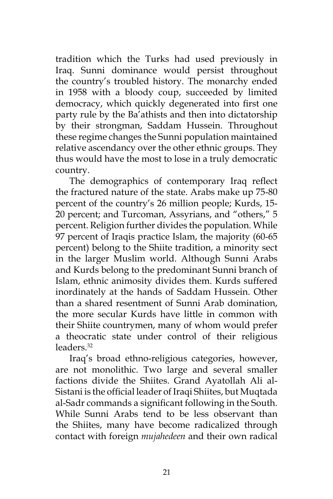tradition which the Turks had used previously in Iraq. Sunni dominance would persist throughout the country's troubled history. The monarchy ended in 1958 with a bloody coup, succeeded by limited democracy, which quickly degenerated into first one party rule by the Ba'athists and then into dictatorship by their strongman, Saddam Hussein. Throughout these regime changes the Sunni population maintained relative ascendancy over the other ethnic groups. They thus would have the most to lose in a truly democratic country.

The demographics of contemporary Iraq reflect the fractured nature of the state. Arabs make up 75-80 percent of the country's 26 million people; Kurds, 15- 20 percent; and Turcoman, Assyrians, and "others," 5 percent. Religion further divides the population. While 97 percent of Iraqis practice Islam, the majority (60-65 percent) belong to the Shiite tradition, a minority sect in the larger Muslim world. Although Sunni Arabs and Kurds belong to the predominant Sunni branch of Islam, ethnic animosity divides them. Kurds suffered inordinately at the hands of Saddam Hussein. Other than a shared resentment of Sunni Arab domination, the more secular Kurds have little in common with their Shiite countrymen, many of whom would prefer a theocratic state under control of their religious leaders.32

Iraq's broad ethno-religious categories, however, are not monolithic. Two large and several smaller factions divide the Shiites. Grand Ayatollah Ali al-Sistani is the official leader of Iraqi Shiites, but Muqtada al-Sadr commands a significant following in the South. While Sunni Arabs tend to be less observant than the Shiites, many have become radicalized through contact with foreign *mujahedeen* and their own radical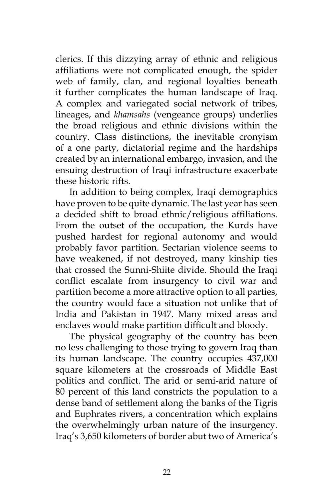clerics. If this dizzying array of ethnic and religious affiliations were not complicated enough, the spider web of family, clan, and regional loyalties beneath it further complicates the human landscape of Iraq. A complex and variegated social network of tribes, lineages, and *khamsahs* (vengeance groups) underlies the broad religious and ethnic divisions within the country. Class distinctions, the inevitable cronyism of a one party, dictatorial regime and the hardships created by an international embargo, invasion, and the ensuing destruction of Iraqi infrastructure exacerbate these historic rifts.

In addition to being complex, Iraqi demographics have proven to be quite dynamic. The last year has seen a decided shift to broad ethnic/religious affiliations. From the outset of the occupation, the Kurds have pushed hardest for regional autonomy and would probably favor partition. Sectarian violence seems to have weakened, if not destroyed, many kinship ties that crossed the Sunni-Shiite divide. Should the Iraqi conflict escalate from insurgency to civil war and partition become a more attractive option to all parties, the country would face a situation not unlike that of India and Pakistan in 1947. Many mixed areas and enclaves would make partition difficult and bloody.

The physical geography of the country has been no less challenging to those trying to govern Iraq than its human landscape. The country occupies 437,000 square kilometers at the crossroads of Middle East politics and conflict. The arid or semi-arid nature of 80 percent of this land constricts the population to a dense band of settlement along the banks of the Tigris and Euphrates rivers, a concentration which explains the overwhelmingly urban nature of the insurgency. Iraq's 3,650 kilometers of border abut two of America's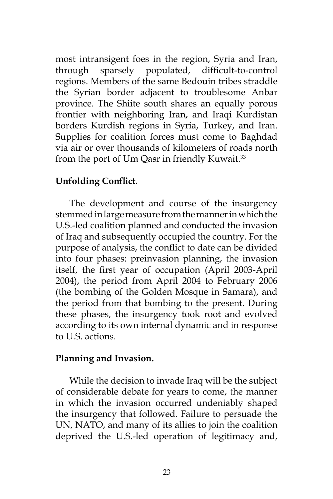most intransigent foes in the region, Syria and Iran, through sparsely populated, difficult-to-control regions. Members of the same Bedouin tribes straddle the Syrian border adjacent to troublesome Anbar province. The Shiite south shares an equally porous frontier with neighboring Iran, and Iraqi Kurdistan borders Kurdish regions in Syria, Turkey, and Iran. Supplies for coalition forces must come to Baghdad via air or over thousands of kilometers of roads north from the port of Um Qasr in friendly Kuwait.<sup>33</sup>

## **Unfolding Conflict.**

The development and course of the insurgency stemmed in large measure from the manner in which the U.S.-led coalition planned and conducted the invasion of Iraq and subsequently occupied the country. For the purpose of analysis, the conflict to date can be divided into four phases: preinvasion planning, the invasion itself, the first year of occupation (April 2003-April 2004), the period from April 2004 to February 2006 (the bombing of the Golden Mosque in Samara), and the period from that bombing to the present. During these phases, the insurgency took root and evolved according to its own internal dynamic and in response to U.S. actions.

## **Planning and Invasion.**

While the decision to invade Iraq will be the subject of considerable debate for years to come, the manner in which the invasion occurred undeniably shaped the insurgency that followed. Failure to persuade the UN, NATO, and many of its allies to join the coalition deprived the U.S.-led operation of legitimacy and,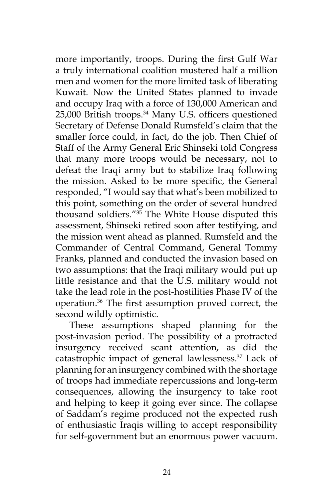more importantly, troops. During the first Gulf War a truly international coalition mustered half a million men and women for the more limited task of liberating Kuwait. Now the United States planned to invade and occupy Iraq with a force of 130,000 American and 25,000 British troops.34 Many U.S. officers questioned Secretary of Defense Donald Rumsfeld's claim that the smaller force could, in fact, do the job. Then Chief of Staff of the Army General Eric Shinseki told Congress that many more troops would be necessary, not to defeat the Iraqi army but to stabilize Iraq following the mission. Asked to be more specific, the General responded, "I would say that what's been mobilized to this point, something on the order of several hundred thousand soldiers."35 The White House disputed this assessment, Shinseki retired soon after testifying, and the mission went ahead as planned. Rumsfeld and the Commander of Central Command, General Tommy Franks, planned and conducted the invasion based on two assumptions: that the Iraqi military would put up little resistance and that the U.S. military would not take the lead role in the post-hostilities Phase IV of the operation.36 The first assumption proved correct, the second wildly optimistic.

These assumptions shaped planning for the post-invasion period. The possibility of a protracted insurgency received scant attention, as did the catastrophic impact of general lawlessness.37 Lack of planning for an insurgency combined with the shortage of troops had immediate repercussions and long-term consequences, allowing the insurgency to take root and helping to keep it going ever since. The collapse of Saddam's regime produced not the expected rush of enthusiastic Iraqis willing to accept responsibility for self-government but an enormous power vacuum.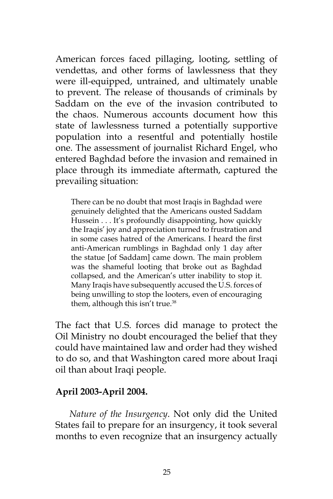American forces faced pillaging, looting, settling of vendettas, and other forms of lawlessness that they were ill-equipped, untrained, and ultimately unable to prevent. The release of thousands of criminals by Saddam on the eve of the invasion contributed to the chaos. Numerous accounts document how this state of lawlessness turned a potentially supportive population into a resentful and potentially hostile one. The assessment of journalist Richard Engel, who entered Baghdad before the invasion and remained in place through its immediate aftermath, captured the prevailing situation:

There can be no doubt that most Iraqis in Baghdad were genuinely delighted that the Americans ousted Saddam Hussein . . . It's profoundly disappointing, how quickly the Iraqis' joy and appreciation turned to frustration and in some cases hatred of the Americans. I heard the first anti-American rumblings in Baghdad only 1 day after the statue [of Saddam] came down. The main problem was the shameful looting that broke out as Baghdad collapsed, and the American's utter inability to stop it. Many Iraqis have subsequently accused the U.S. forces of being unwilling to stop the looters, even of encouraging them, although this isn't true.<sup>38</sup>

The fact that U.S. forces did manage to protect the Oil Ministry no doubt encouraged the belief that they could have maintained law and order had they wished to do so, and that Washington cared more about Iraqi oil than about Iraqi people.

# **April 2003-April 2004.**

*Nature of the Insurgency*. Not only did the United States fail to prepare for an insurgency, it took several months to even recognize that an insurgency actually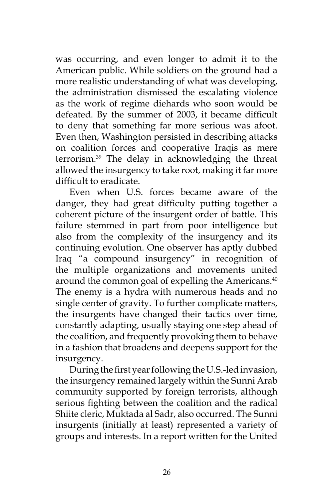was occurring, and even longer to admit it to the American public. While soldiers on the ground had a more realistic understanding of what was developing, the administration dismissed the escalating violence as the work of regime diehards who soon would be defeated. By the summer of 2003, it became difficult to deny that something far more serious was afoot. Even then, Washington persisted in describing attacks on coalition forces and cooperative Iraqis as mere terrorism.39 The delay in acknowledging the threat allowed the insurgency to take root, making it far more difficult to eradicate.

Even when U.S. forces became aware of the danger, they had great difficulty putting together a coherent picture of the insurgent order of battle. This failure stemmed in part from poor intelligence but also from the complexity of the insurgency and its continuing evolution. One observer has aptly dubbed Iraq "a compound insurgency" in recognition of the multiple organizations and movements united around the common goal of expelling the Americans.<sup>40</sup> The enemy is a hydra with numerous heads and no single center of gravity. To further complicate matters, the insurgents have changed their tactics over time, constantly adapting, usually staying one step ahead of the coalition, and frequently provoking them to behave in a fashion that broadens and deepens support for the insurgency.

During the first year following the U.S.-led invasion, the insurgency remained largely within the Sunni Arab community supported by foreign terrorists, although serious fighting between the coalition and the radical Shiite cleric, Muktada al Sadr, also occurred. The Sunni insurgents (initially at least) represented a variety of groups and interests. In a report written for the United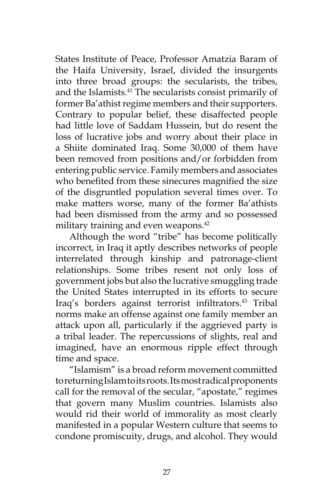States Institute of Peace, Professor Amatzia Baram of the Haifa University, Israel, divided the insurgents into three broad groups: the secularists, the tribes, and the Islamists.<sup>41</sup> The secularists consist primarily of former Ba'athist regime members and their supporters. Contrary to popular belief, these disaffected people had little love of Saddam Hussein, but do resent the loss of lucrative jobs and worry about their place in a Shiite dominated Iraq. Some 30,000 of them have been removed from positions and/or forbidden from entering public service. Family members and associates who benefited from these sinecures magnified the size of the disgruntled population several times over. To make matters worse, many of the former Ba'athists had been dismissed from the army and so possessed military training and even weapons.<sup>42</sup>

Although the word "tribe" has become politically incorrect, in Iraq it aptly describes networks of people interrelated through kinship and patronage-client relationships. Some tribes resent not only loss of government jobs but also the lucrative smuggling trade the United States interrupted in its efforts to secure Iraq's borders against terrorist infiltrators.<sup>43</sup> Tribal norms make an offense against one family member an attack upon all, particularly if the aggrieved party is a tribal leader. The repercussions of slights, real and imagined, have an enormous ripple effect through time and space.

"Islamism" is a broad reform movement committed to returning Islam to its roots. Its most radical proponents call for the removal of the secular, "apostate," regimes that govern many Muslim countries. Islamists also would rid their world of immorality as most clearly manifested in a popular Western culture that seems to condone promiscuity, drugs, and alcohol. They would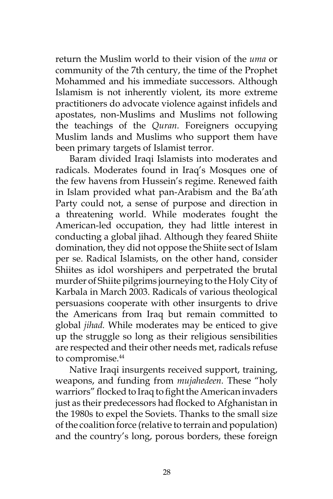return the Muslim world to their vision of the *uma* or community of the 7th century, the time of the Prophet Mohammed and his immediate successors. Although Islamism is not inherently violent, its more extreme practitioners do advocate violence against infidels and apostates, non-Muslims and Muslims not following the teachings of the *Quran.* Foreigners occupying Muslim lands and Muslims who support them have been primary targets of Islamist terror.

Baram divided Iraqi Islamists into moderates and radicals. Moderates found in Iraq's Mosques one of the few havens from Hussein's regime. Renewed faith in Islam provided what pan-Arabism and the Ba'ath Party could not, a sense of purpose and direction in a threatening world. While moderates fought the American-led occupation, they had little interest in conducting a global jihad. Although they feared Shiite domination, they did not oppose the Shiite sect of Islam per se. Radical Islamists, on the other hand, consider Shiites as idol worshipers and perpetrated the brutal murder of Shiite pilgrims journeying to the Holy City of Karbala in March 2003. Radicals of various theological persuasions cooperate with other insurgents to drive the Americans from Iraq but remain committed to global *jihad.* While moderates may be enticed to give up the struggle so long as their religious sensibilities are respected and their other needs met, radicals refuse to compromise.<sup>44</sup>

Native Iraqi insurgents received support, training, weapons, and funding from *mujahedeen.* These "holy warriors" flocked to Iraq to fight the American invaders just as their predecessors had flocked to Afghanistan in the 1980s to expel the Soviets. Thanks to the small size of the coalition force (relative to terrain and population) and the country's long, porous borders, these foreign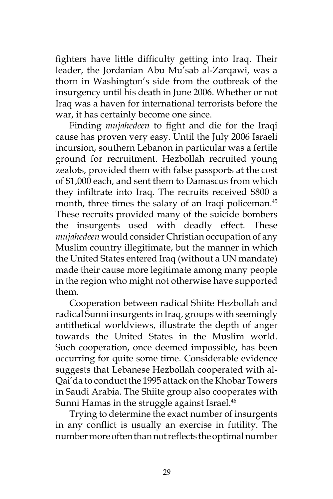fighters have little difficulty getting into Iraq. Their leader, the Jordanian Abu Mu'sab al-Zarqawi, was a thorn in Washington's side from the outbreak of the insurgency until his death in June 2006. Whether or not Iraq was a haven for international terrorists before the war, it has certainly become one since.

Finding *mujahedeen* to fight and die for the Iraqi cause has proven very easy. Until the July 2006 Israeli incursion, southern Lebanon in particular was a fertile ground for recruitment. Hezbollah recruited young zealots, provided them with false passports at the cost of \$1,000 each, and sent them to Damascus from which they infiltrate into Iraq. The recruits received \$800 a month, three times the salary of an Iraqi policeman.<sup>45</sup> These recruits provided many of the suicide bombers the insurgents used with deadly effect. These *mujahedeen* would consider Christian occupation of any Muslim country illegitimate, but the manner in which the United States entered Iraq (without a UN mandate) made their cause more legitimate among many people in the region who might not otherwise have supported them.

Cooperation between radical Shiite Hezbollah and radical Sunni insurgents in Iraq, groups with seemingly antithetical worldviews, illustrate the depth of anger towards the United States in the Muslim world. Such cooperation, once deemed impossible, has been occurring for quite some time. Considerable evidence suggests that Lebanese Hezbollah cooperated with al-Qai'da to conduct the 1995 attack on the Khobar Towers in Saudi Arabia. The Shiite group also cooperates with Sunni Hamas in the struggle against Israel.<sup>46</sup>

Trying to determine the exact number of insurgents in any conflict is usually an exercise in futility. The number more often than not reflects the optimal number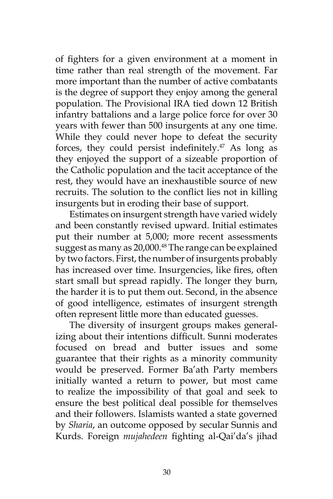of fighters for a given environment at a moment in time rather than real strength of the movement. Far more important than the number of active combatants is the degree of support they enjoy among the general population. The Provisional IRA tied down 12 British infantry battalions and a large police force for over 30 years with fewer than 500 insurgents at any one time. While they could never hope to defeat the security forces, they could persist indefinitely.<sup>47</sup> As long as they enjoyed the support of a sizeable proportion of the Catholic population and the tacit acceptance of the rest, they would have an inexhaustible source of new recruits. The solution to the conflict lies not in killing insurgents but in eroding their base of support.

Estimates on insurgent strength have varied widely and been constantly revised upward. Initial estimates put their number at 5,000; more recent assessments suggest as many as 20,000.<sup>48</sup> The range can be explained by two factors. First, the number of insurgents probably has increased over time. Insurgencies, like fires, often start small but spread rapidly. The longer they burn, the harder it is to put them out. Second, in the absence of good intelligence, estimates of insurgent strength often represent little more than educated guesses.

The diversity of insurgent groups makes generalizing about their intentions difficult. Sunni moderates focused on bread and butter issues and some guarantee that their rights as a minority community would be preserved. Former Ba'ath Party members initially wanted a return to power, but most came to realize the impossibility of that goal and seek to ensure the best political deal possible for themselves and their followers. Islamists wanted a state governed by *Sharia*, an outcome opposed by secular Sunnis and Kurds. Foreign *mujahedeen* fighting al-Qai'da's jihad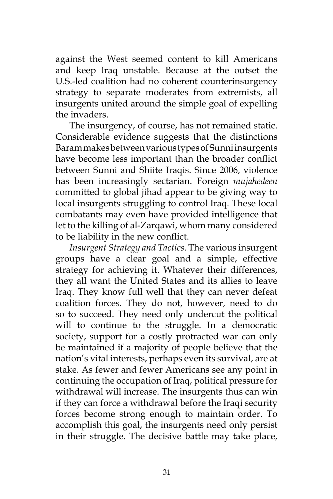against the West seemed content to kill Americans and keep Iraq unstable. Because at the outset the U.S.-led coalition had no coherent counterinsurgency strategy to separate moderates from extremists, all insurgents united around the simple goal of expelling the invaders.

The insurgency, of course, has not remained static. Considerable evidence suggests that the distinctions Baram makes between various types of Sunni insurgents have become less important than the broader conflict between Sunni and Shiite Iraqis. Since 2006, violence has been increasingly sectarian. Foreign *mujahedeen*  committed to global jihad appear to be giving way to local insurgents struggling to control Iraq. These local combatants may even have provided intelligence that let to the killing of al-Zarqawi, whom many considered to be liability in the new conflict.

*Insurgent Strategy and Tactics*. The various insurgent groups have a clear goal and a simple, effective strategy for achieving it. Whatever their differences, they all want the United States and its allies to leave Iraq. They know full well that they can never defeat coalition forces. They do not, however, need to do so to succeed. They need only undercut the political will to continue to the struggle. In a democratic society, support for a costly protracted war can only be maintained if a majority of people believe that the nation's vital interests, perhaps even its survival, are at stake. As fewer and fewer Americans see any point in continuing the occupation of Iraq, political pressure for withdrawal will increase. The insurgents thus can win if they can force a withdrawal before the Iraqi security forces become strong enough to maintain order. To accomplish this goal, the insurgents need only persist in their struggle. The decisive battle may take place,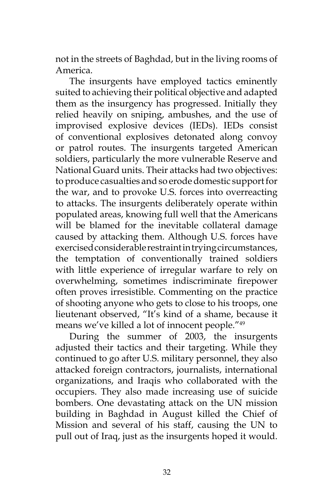not in the streets of Baghdad, but in the living rooms of America.

The insurgents have employed tactics eminently suited to achieving their political objective and adapted them as the insurgency has progressed. Initially they relied heavily on sniping, ambushes, and the use of improvised explosive devices (IEDs). IEDs consist of conventional explosives detonated along convoy or patrol routes. The insurgents targeted American soldiers, particularly the more vulnerable Reserve and National Guard units. Their attacks had two objectives: to produce casualties and so erode domestic support for the war, and to provoke U.S. forces into overreacting to attacks. The insurgents deliberately operate within populated areas, knowing full well that the Americans will be blamed for the inevitable collateral damage caused by attacking them. Although U.S. forces have exercised considerable restraint in trying circumstances, the temptation of conventionally trained soldiers with little experience of irregular warfare to rely on overwhelming, sometimes indiscriminate firepower often proves irresistible. Commenting on the practice of shooting anyone who gets to close to his troops, one lieutenant observed, "It's kind of a shame, because it means we've killed a lot of innocent people."<sup>49</sup>

During the summer of 2003, the insurgents adjusted their tactics and their targeting. While they continued to go after U.S. military personnel, they also attacked foreign contractors, journalists, international organizations, and Iraqis who collaborated with the occupiers. They also made increasing use of suicide bombers. One devastating attack on the UN mission building in Baghdad in August killed the Chief of Mission and several of his staff, causing the UN to pull out of Iraq, just as the insurgents hoped it would.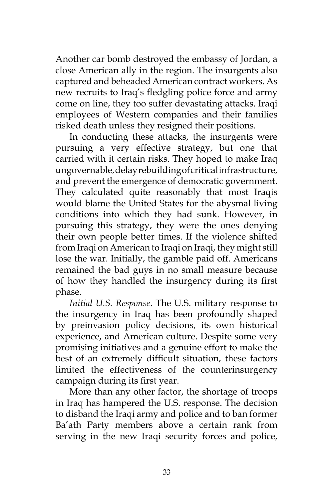Another car bomb destroyed the embassy of Jordan, a close American ally in the region. The insurgents also captured and beheaded American contract workers. As new recruits to Iraq's fledgling police force and army come on line, they too suffer devastating attacks. Iraqi employees of Western companies and their families risked death unless they resigned their positions.

In conducting these attacks, the insurgents were pursuing a very effective strategy, but one that carried with it certain risks. They hoped to make Iraq ungovernable, delay rebuilding of critical infrastructure, and prevent the emergence of democratic government. They calculated quite reasonably that most Iraqis would blame the United States for the abysmal living conditions into which they had sunk. However, in pursuing this strategy, they were the ones denying their own people better times. If the violence shifted from Iraqi on American to Iraqi on Iraqi, they might still lose the war. Initially, the gamble paid off. Americans remained the bad guys in no small measure because of how they handled the insurgency during its first phase.

*Initial U.S. Response*. The U.S. military response to the insurgency in Iraq has been profoundly shaped by preinvasion policy decisions, its own historical experience, and American culture. Despite some very promising initiatives and a genuine effort to make the best of an extremely difficult situation, these factors limited the effectiveness of the counterinsurgency campaign during its first year.

More than any other factor, the shortage of troops in Iraq has hampered the U.S. response. The decision to disband the Iraqi army and police and to ban former Ba'ath Party members above a certain rank from serving in the new Iraqi security forces and police,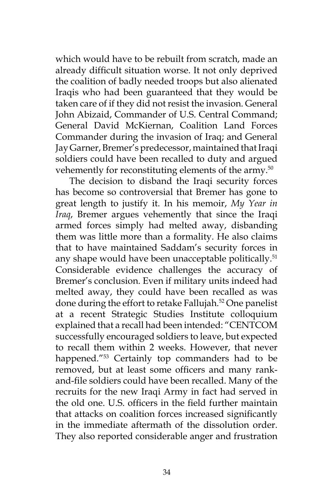which would have to be rebuilt from scratch, made an already difficult situation worse. It not only deprived the coalition of badly needed troops but also alienated Iraqis who had been guaranteed that they would be taken care of if they did not resist the invasion. General John Abizaid, Commander of U.S. Central Command; General David McKiernan, Coalition Land Forces Commander during the invasion of Iraq; and General Jay Garner, Bremer's predecessor, maintained that Iraqi soldiers could have been recalled to duty and argued vehemently for reconstituting elements of the army.<sup>50</sup>

The decision to disband the Iraqi security forces has become so controversial that Bremer has gone to great length to justify it. In his memoir, *My Year in Iraq*, Bremer argues vehemently that since the Iraqi armed forces simply had melted away, disbanding them was little more than a formality. He also claims that to have maintained Saddam's security forces in any shape would have been unacceptable politically.<sup>51</sup> Considerable evidence challenges the accuracy of Bremer's conclusion. Even if military units indeed had melted away, they could have been recalled as was done during the effort to retake Fallujah.<sup>52</sup> One panelist at a recent Strategic Studies Institute colloquium explained that a recall had been intended: "CENTCOM successfully encouraged soldiers to leave, but expected to recall them within 2 weeks. However, that never happened."<sup>53</sup> Certainly top commanders had to be removed, but at least some officers and many rankand-file soldiers could have been recalled. Many of the recruits for the new Iraqi Army in fact had served in the old one. U.S. officers in the field further maintain that attacks on coalition forces increased significantly in the immediate aftermath of the dissolution order. They also reported considerable anger and frustration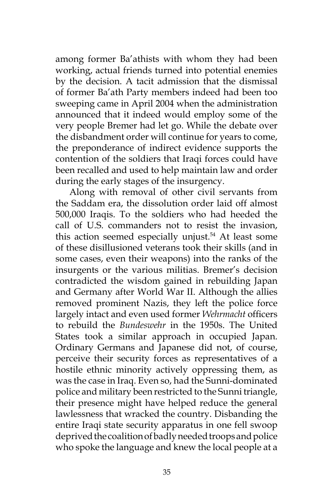among former Ba'athists with whom they had been working, actual friends turned into potential enemies by the decision. A tacit admission that the dismissal of former Ba'ath Party members indeed had been too sweeping came in April 2004 when the administration announced that it indeed would employ some of the very people Bremer had let go. While the debate over the disbandment order will continue for years to come, the preponderance of indirect evidence supports the contention of the soldiers that Iraqi forces could have been recalled and used to help maintain law and order during the early stages of the insurgency.

Along with removal of other civil servants from the Saddam era, the dissolution order laid off almost 500,000 Iraqis. To the soldiers who had heeded the call of U.S. commanders not to resist the invasion, this action seemed especially unjust.<sup>54</sup> At least some of these disillusioned veterans took their skills (and in some cases, even their weapons) into the ranks of the insurgents or the various militias. Bremer's decision contradicted the wisdom gained in rebuilding Japan and Germany after World War II. Although the allies removed prominent Nazis, they left the police force largely intact and even used former *Wehrmacht* officers to rebuild the *Bundeswehr* in the 1950s. The United States took a similar approach in occupied Japan. Ordinary Germans and Japanese did not, of course, perceive their security forces as representatives of a hostile ethnic minority actively oppressing them, as was the case in Iraq. Even so, had the Sunni-dominated police and military been restricted to the Sunni triangle, their presence might have helped reduce the general lawlessness that wracked the country. Disbanding the entire Iraqi state security apparatus in one fell swoop deprived the coalition of badly needed troops and police who spoke the language and knew the local people at a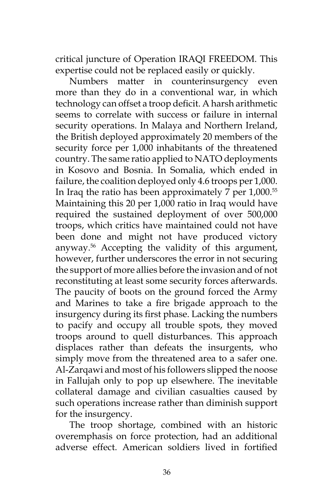critical juncture of Operation IRAQI FREEDOM. This expertise could not be replaced easily or quickly.

Numbers matter in counterinsurgency even more than they do in a conventional war, in which technology can offset a troop deficit. A harsh arithmetic seems to correlate with success or failure in internal security operations. In Malaya and Northern Ireland, the British deployed approximately 20 members of the security force per 1,000 inhabitants of the threatened country. The same ratio applied to NATO deployments in Kosovo and Bosnia. In Somalia, which ended in failure, the coalition deployed only 4.6 troops per 1,000. In Iraq the ratio has been approximately  $7$  per  $1,000$ .<sup>55</sup> Maintaining this 20 per 1,000 ratio in Iraq would have required the sustained deployment of over 500,000 troops, which critics have maintained could not have been done and might not have produced victory anyway.56 Accepting the validity of this argument, however, further underscores the error in not securing the support of more allies before the invasion and of not reconstituting at least some security forces afterwards. The paucity of boots on the ground forced the Army and Marines to take a fire brigade approach to the insurgency during its first phase. Lacking the numbers to pacify and occupy all trouble spots, they moved troops around to quell disturbances. This approach displaces rather than defeats the insurgents, who simply move from the threatened area to a safer one. Al-Zarqawi and most of his followers slipped the noose in Fallujah only to pop up elsewhere. The inevitable collateral damage and civilian casualties caused by such operations increase rather than diminish support for the insurgency.

The troop shortage, combined with an historic overemphasis on force protection, had an additional adverse effect. American soldiers lived in fortified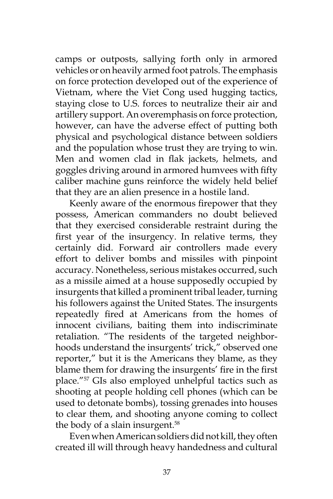camps or outposts, sallying forth only in armored vehicles or on heavily armed foot patrols. The emphasis on force protection developed out of the experience of Vietnam, where the Viet Cong used hugging tactics, staying close to U.S. forces to neutralize their air and artillery support. An overemphasis on force protection, however, can have the adverse effect of putting both physical and psychological distance between soldiers and the population whose trust they are trying to win. Men and women clad in flak jackets, helmets, and goggles driving around in armored humvees with fifty caliber machine guns reinforce the widely held belief that they are an alien presence in a hostile land.

Keenly aware of the enormous firepower that they possess, American commanders no doubt believed that they exercised considerable restraint during the first year of the insurgency. In relative terms, they certainly did. Forward air controllers made every effort to deliver bombs and missiles with pinpoint accuracy. Nonetheless, serious mistakes occurred, such as a missile aimed at a house supposedly occupied by insurgents that killed a prominent tribal leader, turning his followers against the United States. The insurgents repeatedly fired at Americans from the homes of innocent civilians, baiting them into indiscriminate retaliation. "The residents of the targeted neighborhoods understand the insurgents' trick," observed one reporter," but it is the Americans they blame, as they blame them for drawing the insurgents' fire in the first place."57 GIs also employed unhelpful tactics such as shooting at people holding cell phones (which can be used to detonate bombs), tossing grenades into houses to clear them, and shooting anyone coming to collect the body of a slain insurgent.<sup>58</sup>

Even when American soldiers did not kill, they often created ill will through heavy handedness and cultural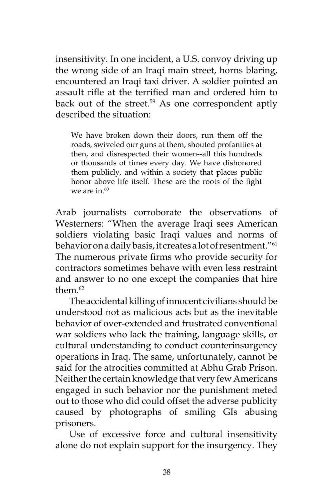insensitivity. In one incident, a U.S. convoy driving up the wrong side of an Iraqi main street, horns blaring, encountered an Iraqi taxi driver. A soldier pointed an assault rifle at the terrified man and ordered him to back out of the street.<sup>59</sup> As one correspondent aptly described the situation:

We have broken down their doors, run them off the roads, swiveled our guns at them, shouted profanities at then, and disrespected their women--all this hundreds or thousands of times every day. We have dishonored them publicly, and within a society that places public honor above life itself. These are the roots of the fight we are in. $60$ 

Arab journalists corroborate the observations of Westerners: "When the average Iraqi sees American soldiers violating basic Iraqi values and norms of behavior on a daily basis, it creates a lot of resentment."<sup>61</sup> The numerous private firms who provide security for contractors sometimes behave with even less restraint and answer to no one except the companies that hire them $62$ 

The accidental killing of innocent civilians should be understood not as malicious acts but as the inevitable behavior of over-extended and frustrated conventional war soldiers who lack the training, language skills, or cultural understanding to conduct counterinsurgency operations in Iraq. The same, unfortunately, cannot be said for the atrocities committed at Abhu Grab Prison. Neither the certain knowledge that very few Americans engaged in such behavior nor the punishment meted out to those who did could offset the adverse publicity caused by photographs of smiling GIs abusing prisoners.

Use of excessive force and cultural insensitivity alone do not explain support for the insurgency. They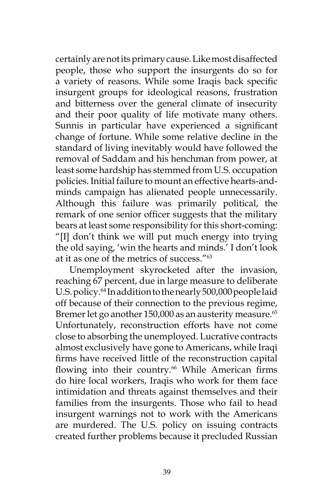certainly are not its primary cause. Like most disaffected people, those who support the insurgents do so for a variety of reasons. While some Iraqis back specific insurgent groups for ideological reasons, frustration and bitterness over the general climate of insecurity and their poor quality of life motivate many others. Sunnis in particular have experienced a significant change of fortune. While some relative decline in the standard of living inevitably would have followed the removal of Saddam and his henchman from power, at least some hardship has stemmed from U.S. occupation policies. Initial failure to mount an effective hearts-andminds campaign has alienated people unnecessarily. Although this failure was primarily political, the remark of one senior officer suggests that the military bears at least some responsibility for this short-coming: "[I] don't think we will put much energy into trying the old saying, 'win the hearts and minds.' I don't look at it as one of the metrics of success."<sup>63</sup>

Unemployment skyrocketed after the invasion, reaching 67 percent, due in large measure to deliberate U.S. policy.<sup>64</sup> In addition to the nearly 500,000 people laid off because of their connection to the previous regime, Bremer let go another 150,000 as an austerity measure.<sup>65</sup> Unfortunately, reconstruction efforts have not come close to absorbing the unemployed. Lucrative contracts almost exclusively have gone to Americans, while Iraqi firms have received little of the reconstruction capital flowing into their country.<sup>66</sup> While American firms do hire local workers, Iraqis who work for them face intimidation and threats against themselves and their families from the insurgents. Those who fail to head insurgent warnings not to work with the Americans are murdered. The U.S. policy on issuing contracts created further problems because it precluded Russian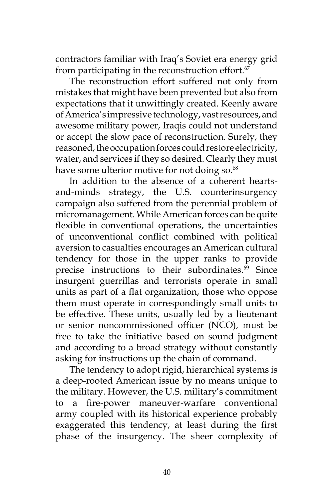contractors familiar with Iraq's Soviet era energy grid from participating in the reconstruction effort. $67$ 

The reconstruction effort suffered not only from mistakes that might have been prevented but also from expectations that it unwittingly created. Keenly aware of America's impressive technology, vast resources, and awesome military power, Iraqis could not understand or accept the slow pace of reconstruction. Surely, they reasoned, the occupation forces could restore electricity, water, and services if they so desired. Clearly they must have some ulterior motive for not doing so.<sup>68</sup>

In addition to the absence of a coherent heartsand-minds strategy, the U.S. counterinsurgency campaign also suffered from the perennial problem of micromanagement. While American forces can be quite flexible in conventional operations, the uncertainties of unconventional conflict combined with political aversion to casualties encourages an American cultural tendency for those in the upper ranks to provide precise instructions to their subordinates.<sup>69</sup> Since insurgent guerrillas and terrorists operate in small units as part of a flat organization, those who oppose them must operate in correspondingly small units to be effective. These units, usually led by a lieutenant or senior noncommissioned officer (NCO), must be free to take the initiative based on sound judgment and according to a broad strategy without constantly asking for instructions up the chain of command.

The tendency to adopt rigid, hierarchical systems is a deep-rooted American issue by no means unique to the military. However, the U.S. military's commitment to a fire-power maneuver-warfare conventional army coupled with its historical experience probably exaggerated this tendency, at least during the first phase of the insurgency. The sheer complexity of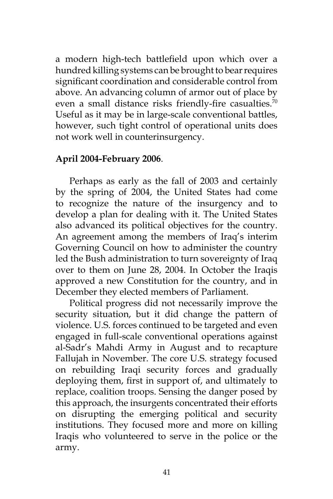a modern high-tech battlefield upon which over a hundred killing systems can be brought to bear requires significant coordination and considerable control from above. An advancing column of armor out of place by even a small distance risks friendly-fire casualties.<sup>70</sup> Useful as it may be in large-scale conventional battles, however, such tight control of operational units does not work well in counterinsurgency.

#### **April 2004-February 2006**.

Perhaps as early as the fall of 2003 and certainly by the spring of 2004, the United States had come to recognize the nature of the insurgency and to develop a plan for dealing with it. The United States also advanced its political objectives for the country. An agreement among the members of Iraq's interim Governing Council on how to administer the country led the Bush administration to turn sovereignty of Iraq over to them on June 28, 2004. In October the Iraqis approved a new Constitution for the country, and in December they elected members of Parliament.

Political progress did not necessarily improve the security situation, but it did change the pattern of violence. U.S. forces continued to be targeted and even engaged in full-scale conventional operations against al-Sadr's Mahdi Army in August and to recapture Fallujah in November. The core U.S. strategy focused on rebuilding Iraqi security forces and gradually deploying them, first in support of, and ultimately to replace, coalition troops. Sensing the danger posed by this approach, the insurgents concentrated their efforts on disrupting the emerging political and security institutions. They focused more and more on killing Iraqis who volunteered to serve in the police or the army.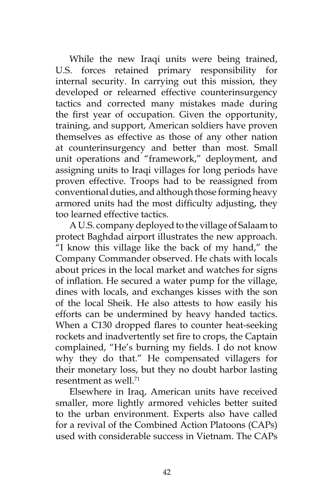While the new Iraqi units were being trained, U.S. forces retained primary responsibility for internal security. In carrying out this mission, they developed or relearned effective counterinsurgency tactics and corrected many mistakes made during the first year of occupation. Given the opportunity, training, and support, American soldiers have proven themselves as effective as those of any other nation at counterinsurgency and better than most. Small unit operations and "framework," deployment, and assigning units to Iraqi villages for long periods have proven effective. Troops had to be reassigned from conventional duties, and although those forming heavy armored units had the most difficulty adjusting, they too learned effective tactics.

A U.S. company deployed to the village of Salaam to protect Baghdad airport illustrates the new approach. "I know this village like the back of my hand," the Company Commander observed. He chats with locals about prices in the local market and watches for signs of inflation. He secured a water pump for the village, dines with locals, and exchanges kisses with the son of the local Sheik. He also attests to how easily his efforts can be undermined by heavy handed tactics. When a C130 dropped flares to counter heat-seeking rockets and inadvertently set fire to crops, the Captain complained, "He's burning my fields. I do not know why they do that." He compensated villagers for their monetary loss, but they no doubt harbor lasting resentment as well  $^{71}$ 

Elsewhere in Iraq, American units have received smaller, more lightly armored vehicles better suited to the urban environment. Experts also have called for a revival of the Combined Action Platoons (CAPs) used with considerable success in Vietnam. The CAPs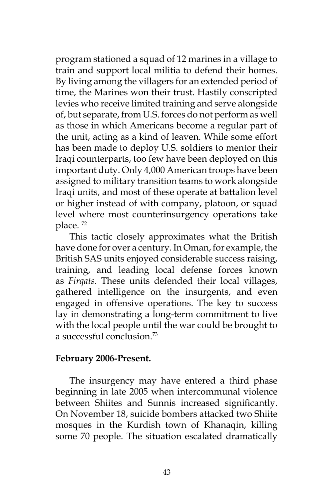program stationed a squad of 12 marines in a village to train and support local militia to defend their homes. By living among the villagers for an extended period of time, the Marines won their trust. Hastily conscripted levies who receive limited training and serve alongside of, but separate, from U.S. forces do not perform as well as those in which Americans become a regular part of the unit, acting as a kind of leaven. While some effort has been made to deploy U.S. soldiers to mentor their Iraqi counterparts, too few have been deployed on this important duty. Only 4,000 American troops have been assigned to military transition teams to work alongside Iraqi units, and most of these operate at battalion level or higher instead of with company, platoon, or squad level where most counterinsurgency operations take place.<sup>72</sup>

This tactic closely approximates what the British have done for over a century. In Oman, for example, the British SAS units enjoyed considerable success raising, training, and leading local defense forces known as *Firqats*. These units defended their local villages, gathered intelligence on the insurgents, and even engaged in offensive operations. The key to success lay in demonstrating a long-term commitment to live with the local people until the war could be brought to a successful conclusion.73

## **February 2006-Present.**

The insurgency may have entered a third phase beginning in late 2005 when intercommunal violence between Shiites and Sunnis increased significantly. On November 18, suicide bombers attacked two Shiite mosques in the Kurdish town of Khanaqin, killing some 70 people. The situation escalated dramatically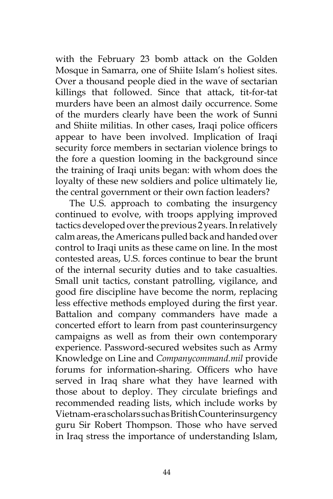with the February 23 bomb attack on the Golden Mosque in Samarra, one of Shiite Islam's holiest sites. Over a thousand people died in the wave of sectarian killings that followed. Since that attack, tit-for-tat murders have been an almost daily occurrence. Some of the murders clearly have been the work of Sunni and Shiite militias. In other cases, Iraqi police officers appear to have been involved. Implication of Iraqi security force members in sectarian violence brings to the fore a question looming in the background since the training of Iraqi units began: with whom does the loyalty of these new soldiers and police ultimately lie, the central government or their own faction leaders?

The U.S. approach to combating the insurgency continued to evolve, with troops applying improved tactics developed over the previous 2 years. In relatively calm areas, the Americans pulled back and handed over control to Iraqi units as these came on line. In the most contested areas, U.S. forces continue to bear the brunt of the internal security duties and to take casualties. Small unit tactics, constant patrolling, vigilance, and good fire discipline have become the norm, replacing less effective methods employed during the first year. Battalion and company commanders have made a concerted effort to learn from past counterinsurgency campaigns as well as from their own contemporary experience. Password-secured websites such as Army Knowledge on Line and *Companycommand.mil* provide forums for information-sharing. Officers who have served in Iraq share what they have learned with those about to deploy. They circulate briefings and recommended reading lists, which include works by Vietnam-era scholars such as British Counterinsurgency guru Sir Robert Thompson. Those who have served in Iraq stress the importance of understanding Islam,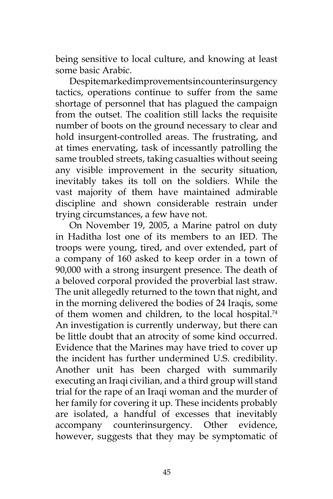being sensitive to local culture, and knowing at least some basic Arabic.

Despite marked improvements in counterinsurgency tactics, operations continue to suffer from the same shortage of personnel that has plagued the campaign from the outset. The coalition still lacks the requisite number of boots on the ground necessary to clear and hold insurgent-controlled areas. The frustrating, and at times enervating, task of incessantly patrolling the same troubled streets, taking casualties without seeing any visible improvement in the security situation, inevitably takes its toll on the soldiers. While the vast majority of them have maintained admirable discipline and shown considerable restrain under trying circumstances, a few have not.

On November 19, 2005, a Marine patrol on duty in Haditha lost one of its members to an IED. The troops were young, tired, and over extended, part of a company of 160 asked to keep order in a town of 90,000 with a strong insurgent presence. The death of a beloved corporal provided the proverbial last straw. The unit allegedly returned to the town that night, and in the morning delivered the bodies of 24 Iraqis, some of them women and children, to the local hospital.<sup>74</sup> An investigation is currently underway, but there can be little doubt that an atrocity of some kind occurred. Evidence that the Marines may have tried to cover up the incident has further undermined U.S. credibility. Another unit has been charged with summarily executing an Iraqi civilian, and a third group will stand trial for the rape of an Iraqi woman and the murder of her family for covering it up. These incidents probably are isolated, a handful of excesses that inevitably accompany counterinsurgency. Other evidence, however, suggests that they may be symptomatic of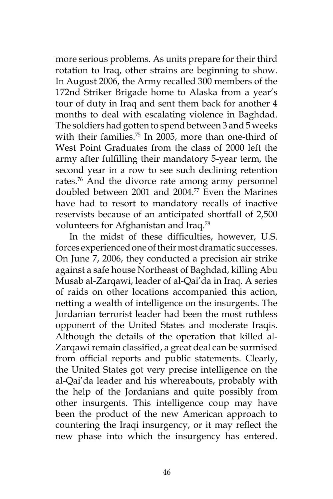more serious problems. As units prepare for their third rotation to Iraq, other strains are beginning to show. In August 2006, the Army recalled 300 members of the 172nd Striker Brigade home to Alaska from a year's tour of duty in Iraq and sent them back for another 4 months to deal with escalating violence in Baghdad. The soldiers had gotten to spend between 3 and 5 weeks with their families.<sup>75</sup> In 2005, more than one-third of West Point Graduates from the class of 2000 left the army after fulfilling their mandatory 5-year term, the second year in a row to see such declining retention rates.76 And the divorce rate among army personnel doubled between 2001 and 2004.77 Even the Marines have had to resort to mandatory recalls of inactive reservists because of an anticipated shortfall of 2,500 volunteers for Afghanistan and Iraq.78

In the midst of these difficulties, however, U.S. forces experienced one of their most dramatic successes. On June 7, 2006, they conducted a precision air strike against a safe house Northeast of Baghdad, killing Abu Musab al-Zarqawi, leader of al-Qai'da in Iraq. A series of raids on other locations accompanied this action, netting a wealth of intelligence on the insurgents. The Jordanian terrorist leader had been the most ruthless opponent of the United States and moderate Iraqis. Although the details of the operation that killed al-Zarqawi remain classified, a great deal can be surmised from official reports and public statements. Clearly, the United States got very precise intelligence on the al-Qai'da leader and his whereabouts, probably with the help of the Jordanians and quite possibly from other insurgents. This intelligence coup may have been the product of the new American approach to countering the Iraqi insurgency, or it may reflect the new phase into which the insurgency has entered.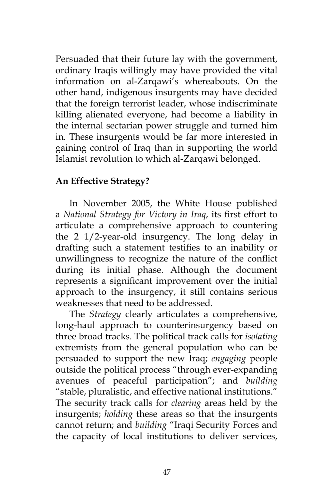Persuaded that their future lay with the government, ordinary Iraqis willingly may have provided the vital information on al-Zarqawi's whereabouts. On the other hand, indigenous insurgents may have decided that the foreign terrorist leader, whose indiscriminate killing alienated everyone, had become a liability in the internal sectarian power struggle and turned him in. These insurgents would be far more interested in gaining control of Iraq than in supporting the world Islamist revolution to which al-Zarqawi belonged.

# **An Effective Strategy?**

In November 2005, the White House published a *National Strategy for Victory in Iraq*, its first effort to articulate a comprehensive approach to countering the 2 1/2-year-old insurgency. The long delay in drafting such a statement testifies to an inability or unwillingness to recognize the nature of the conflict during its initial phase. Although the document represents a significant improvement over the initial approach to the insurgency, it still contains serious weaknesses that need to be addressed.

The *Strategy* clearly articulates a comprehensive, long-haul approach to counterinsurgency based on three broad tracks. The political track calls for *isolating*  extremists from the general population who can be persuaded to support the new Iraq; *engaging* people outside the political process "through ever-expanding avenues of peaceful participation"; and *building* "stable, pluralistic, and effective national institutions." The security track calls for *clearing* areas held by the insurgents; *holding* these areas so that the insurgents cannot return; and *building* "Iraqi Security Forces and the capacity of local institutions to deliver services,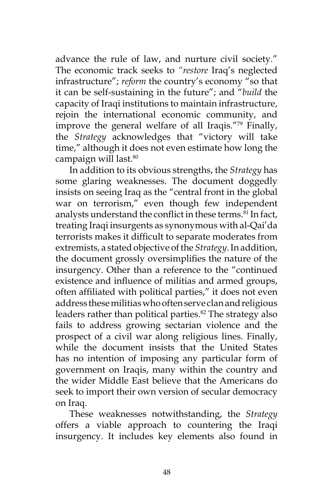advance the rule of law, and nurture civil society." The economic track seeks to *"restore* Iraq's neglected infrastructure"; *reform* the country's economy "so that it can be self-sustaining in the future"; and "*build* the capacity of Iraqi institutions to maintain infrastructure, rejoin the international economic community, and improve the general welfare of all Iraqis."79 Finally, the *Strategy* acknowledges that "victory will take time," although it does not even estimate how long the campaign will last.<sup>80</sup>

In addition to its obvious strengths, the *Strategy* has some glaring weaknesses. The document doggedly insists on seeing Iraq as the "central front in the global war on terrorism," even though few independent analysts understand the conflict in these terms.<sup>81</sup> In fact, treating Iraqi insurgents as synonymous with al-Qai'da terrorists makes it difficult to separate moderates from extremists, a stated objective of the *Strategy*. In addition, the document grossly oversimplifies the nature of the insurgency. Other than a reference to the "continued existence and influence of militias and armed groups, often affiliated with political parties," it does not even address these militias who often serve clan and religious leaders rather than political parties.<sup>82</sup> The strategy also fails to address growing sectarian violence and the prospect of a civil war along religious lines. Finally, while the document insists that the United States has no intention of imposing any particular form of government on Iraqis, many within the country and the wider Middle East believe that the Americans do seek to import their own version of secular democracy on Iraq.

These weaknesses notwithstanding, the *Strategy*  offers a viable approach to countering the Iraqi insurgency. It includes key elements also found in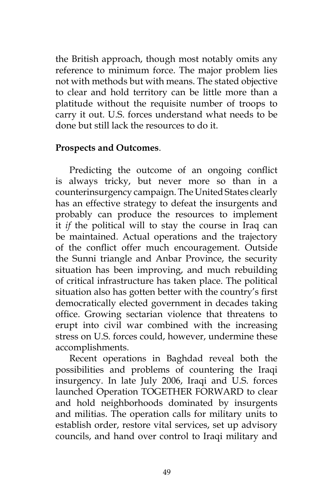the British approach, though most notably omits any reference to minimum force. The major problem lies not with methods but with means. The stated objective to clear and hold territory can be little more than a platitude without the requisite number of troops to carry it out. U.S. forces understand what needs to be done but still lack the resources to do it.

#### **Prospects and Outcomes**.

Predicting the outcome of an ongoing conflict is always tricky, but never more so than in a counterinsurgency campaign. The United States clearly has an effective strategy to defeat the insurgents and probably can produce the resources to implement it *if* the political will to stay the course in Iraq can be maintained. Actual operations and the trajectory of the conflict offer much encouragement. Outside the Sunni triangle and Anbar Province, the security situation has been improving, and much rebuilding of critical infrastructure has taken place. The political situation also has gotten better with the country's first democratically elected government in decades taking office. Growing sectarian violence that threatens to erupt into civil war combined with the increasing stress on U.S. forces could, however, undermine these accomplishments.

Recent operations in Baghdad reveal both the possibilities and problems of countering the Iraqi insurgency. In late July 2006, Iraqi and U.S. forces launched Operation TOGETHER FORWARD to clear and hold neighborhoods dominated by insurgents and militias. The operation calls for military units to establish order, restore vital services, set up advisory councils, and hand over control to Iraqi military and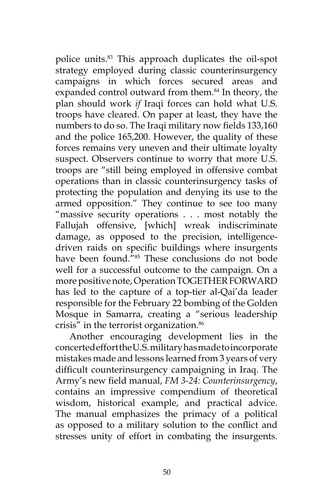police units.83 This approach duplicates the oil-spot strategy employed during classic counterinsurgency campaigns in which forces secured areas and expanded control outward from them.<sup>84</sup> In theory, the plan should work *if* Iraqi forces can hold what U.S. troops have cleared. On paper at least, they have the numbers to do so. The Iraqi military now fields 133,160 and the police 165,200. However, the quality of these forces remains very uneven and their ultimate loyalty suspect. Observers continue to worry that more U.S. troops are "still being employed in offensive combat operations than in classic counterinsurgency tasks of protecting the population and denying its use to the armed opposition." They continue to see too many "massive security operations . . . most notably the Fallujah offensive, [which] wreak indiscriminate damage, as opposed to the precision, intelligencedriven raids on specific buildings where insurgents have been found."<sup>85</sup> These conclusions do not bode well for a successful outcome to the campaign. On a more positive note, Operation TOGETHER FORWARD has led to the capture of a top-tier al-Qai'da leader responsible for the February 22 bombing of the Golden Mosque in Samarra, creating a "serious leadership crisis" in the terrorist organization.<sup>86</sup>

Another encouraging development lies in the concerted effort the U.S. military has made to incorporate mistakes made and lessons learned from 3 years of very difficult counterinsurgency campaigning in Iraq. The Army's new field manual, *FM 3-24: Counterinsurgency*, contains an impressive compendium of theoretical wisdom, historical example, and practical advice. The manual emphasizes the primacy of a political as opposed to a military solution to the conflict and stresses unity of effort in combating the insurgents.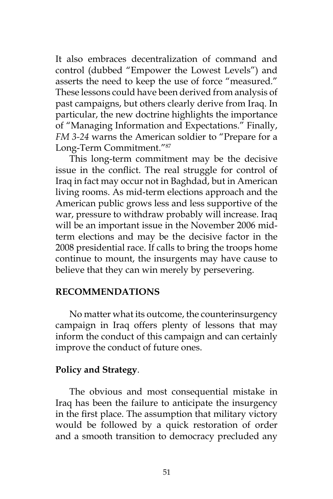It also embraces decentralization of command and control (dubbed "Empower the Lowest Levels") and asserts the need to keep the use of force "measured." These lessons could have been derived from analysis of past campaigns, but others clearly derive from Iraq. In particular, the new doctrine highlights the importance of "Managing Information and Expectations." Finally, *FM 3-24* warns the American soldier to "Prepare for a Long-Term Commitment."<sup>87</sup>

This long-term commitment may be the decisive issue in the conflict. The real struggle for control of Iraq in fact may occur not in Baghdad, but in American living rooms. As mid-term elections approach and the American public grows less and less supportive of the war, pressure to withdraw probably will increase. Iraq will be an important issue in the November 2006 midterm elections and may be the decisive factor in the 2008 presidential race. If calls to bring the troops home continue to mount, the insurgents may have cause to believe that they can win merely by persevering.

#### **RECOMMENDATIONS**

No matter what its outcome, the counterinsurgency campaign in Iraq offers plenty of lessons that may inform the conduct of this campaign and can certainly improve the conduct of future ones.

#### **Policy and Strategy**.

The obvious and most consequential mistake in Iraq has been the failure to anticipate the insurgency in the first place. The assumption that military victory would be followed by a quick restoration of order and a smooth transition to democracy precluded any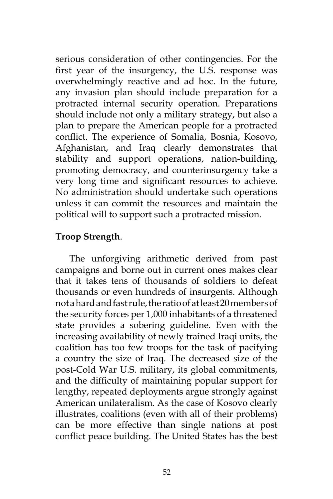serious consideration of other contingencies. For the first year of the insurgency, the U.S. response was overwhelmingly reactive and ad hoc. In the future, any invasion plan should include preparation for a protracted internal security operation. Preparations should include not only a military strategy, but also a plan to prepare the American people for a protracted conflict. The experience of Somalia, Bosnia, Kosovo, Afghanistan, and Iraq clearly demonstrates that stability and support operations, nation-building, promoting democracy, and counterinsurgency take a very long time and significant resources to achieve. No administration should undertake such operations unless it can commit the resources and maintain the political will to support such a protracted mission.

## **Troop Strength**.

The unforgiving arithmetic derived from past campaigns and borne out in current ones makes clear that it takes tens of thousands of soldiers to defeat thousands or even hundreds of insurgents. Although not a hard and fast rule, the ratio of at least 20 members of the security forces per 1,000 inhabitants of a threatened state provides a sobering guideline. Even with the increasing availability of newly trained Iraqi units, the coalition has too few troops for the task of pacifying a country the size of Iraq. The decreased size of the post-Cold War U.S. military, its global commitments, and the difficulty of maintaining popular support for lengthy, repeated deployments argue strongly against American unilateralism. As the case of Kosovo clearly illustrates, coalitions (even with all of their problems) can be more effective than single nations at post conflict peace building. The United States has the best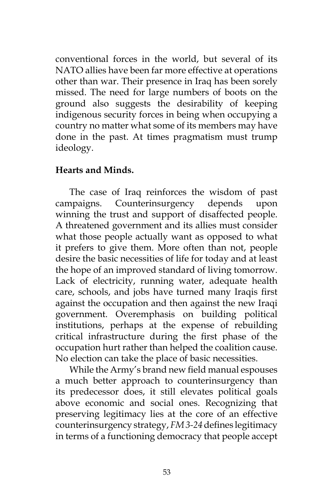conventional forces in the world, but several of its NATO allies have been far more effective at operations other than war. Their presence in Iraq has been sorely missed. The need for large numbers of boots on the ground also suggests the desirability of keeping indigenous security forces in being when occupying a country no matter what some of its members may have done in the past. At times pragmatism must trump ideology.

## **Hearts and Minds.**

The case of Iraq reinforces the wisdom of past campaigns. Counterinsurgency depends upon winning the trust and support of disaffected people. A threatened government and its allies must consider what those people actually want as opposed to what it prefers to give them. More often than not, people desire the basic necessities of life for today and at least the hope of an improved standard of living tomorrow. Lack of electricity, running water, adequate health care, schools, and jobs have turned many Iraqis first against the occupation and then against the new Iraqi government. Overemphasis on building political institutions, perhaps at the expense of rebuilding critical infrastructure during the first phase of the occupation hurt rather than helped the coalition cause. No election can take the place of basic necessities.

While the Army's brand new field manual espouses a much better approach to counterinsurgency than its predecessor does, it still elevates political goals above economic and social ones. Recognizing that preserving legitimacy lies at the core of an effective counterinsurgency strategy, *FM 3-24* defines legitimacy in terms of a functioning democracy that people accept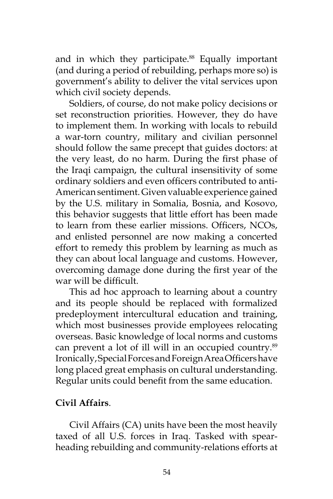and in which they participate.<sup>88</sup> Equally important (and during a period of rebuilding, perhaps more so) is government's ability to deliver the vital services upon which civil society depends.

Soldiers, of course, do not make policy decisions or set reconstruction priorities. However, they do have to implement them. In working with locals to rebuild a war-torn country, military and civilian personnel should follow the same precept that guides doctors: at the very least, do no harm. During the first phase of the Iraqi campaign, the cultural insensitivity of some ordinary soldiers and even officers contributed to anti-American sentiment. Given valuable experience gained by the U.S. military in Somalia, Bosnia, and Kosovo, this behavior suggests that little effort has been made to learn from these earlier missions. Officers, NCOs, and enlisted personnel are now making a concerted effort to remedy this problem by learning as much as they can about local language and customs. However, overcoming damage done during the first year of the war will be difficult.

This ad hoc approach to learning about a country and its people should be replaced with formalized predeployment intercultural education and training, which most businesses provide employees relocating overseas. Basic knowledge of local norms and customs can prevent a lot of ill will in an occupied country.<sup>89</sup> Ironically, Special Forces and Foreign Area Officers have long placed great emphasis on cultural understanding. Regular units could benefit from the same education.

## **Civil Affairs**.

Civil Affairs (CA) units have been the most heavily taxed of all U.S. forces in Iraq. Tasked with spearheading rebuilding and community-relations efforts at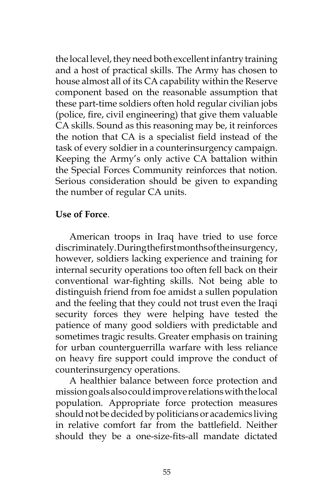the local level, they need both excellent infantry training and a host of practical skills. The Army has chosen to house almost all of its CA capability within the Reserve component based on the reasonable assumption that these part-time soldiers often hold regular civilian jobs (police, fire, civil engineering) that give them valuable CA skills. Sound as this reasoning may be, it reinforces the notion that CA is a specialist field instead of the task of every soldier in a counterinsurgency campaign. Keeping the Army's only active CA battalion within the Special Forces Community reinforces that notion. Serious consideration should be given to expanding the number of regular CA units.

## **Use of Force**.

American troops in Iraq have tried to use force discriminately. During the first months of the insurgency, however, soldiers lacking experience and training for internal security operations too often fell back on their conventional war-fighting skills. Not being able to distinguish friend from foe amidst a sullen population and the feeling that they could not trust even the Iraqi security forces they were helping have tested the patience of many good soldiers with predictable and sometimes tragic results. Greater emphasis on training for urban counterguerrilla warfare with less reliance on heavy fire support could improve the conduct of counterinsurgency operations.

A healthier balance between force protection and mission goals also could improve relations with the local population. Appropriate force protection measures should not be decided by politicians or academics living in relative comfort far from the battlefield. Neither should they be a one-size-fits-all mandate dictated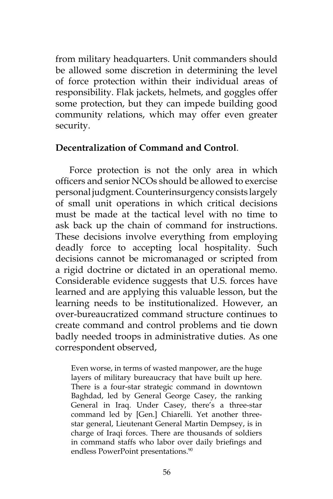from military headquarters. Unit commanders should be allowed some discretion in determining the level of force protection within their individual areas of responsibility. Flak jackets, helmets, and goggles offer some protection, but they can impede building good community relations, which may offer even greater security.

#### **Decentralization of Command and Control**.

Force protection is not the only area in which officers and senior NCOs should be allowed to exercise personal judgment. Counterinsurgency consists largely of small unit operations in which critical decisions must be made at the tactical level with no time to ask back up the chain of command for instructions. These decisions involve everything from employing deadly force to accepting local hospitality. Such decisions cannot be micromanaged or scripted from a rigid doctrine or dictated in an operational memo. Considerable evidence suggests that U.S. forces have learned and are applying this valuable lesson, but the learning needs to be institutionalized. However, an over-bureaucratized command structure continues to create command and control problems and tie down badly needed troops in administrative duties. As one correspondent observed,

Even worse, in terms of wasted manpower, are the huge layers of military bureaucracy that have built up here. There is a four-star strategic command in downtown Baghdad, led by General George Casey, the ranking General in Iraq. Under Casey, there's a three-star command led by [Gen.] Chiarelli. Yet another threestar general, Lieutenant General Martin Dempsey, is in charge of Iraqi forces. There are thousands of soldiers in command staffs who labor over daily briefings and endless PowerPoint presentations.<sup>90</sup>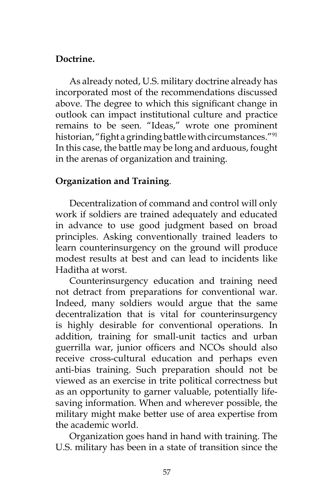## **Doctrine.**

As already noted, U.S. military doctrine already has incorporated most of the recommendations discussed above. The degree to which this significant change in outlook can impact institutional culture and practice remains to be seen. "Ideas," wrote one prominent historian, "fight a grinding battle with circumstances."<sup>91</sup> In this case, the battle may be long and arduous, fought in the arenas of organization and training.

# **Organization and Training**.

Decentralization of command and control will only work if soldiers are trained adequately and educated in advance to use good judgment based on broad principles. Asking conventionally trained leaders to learn counterinsurgency on the ground will produce modest results at best and can lead to incidents like Haditha at worst.

Counterinsurgency education and training need not detract from preparations for conventional war. Indeed, many soldiers would argue that the same decentralization that is vital for counterinsurgency is highly desirable for conventional operations. In addition, training for small-unit tactics and urban guerrilla war, junior officers and NCOs should also receive cross-cultural education and perhaps even anti-bias training. Such preparation should not be viewed as an exercise in trite political correctness but as an opportunity to garner valuable, potentially lifesaving information. When and wherever possible, the military might make better use of area expertise from the academic world.

Organization goes hand in hand with training. The U.S. military has been in a state of transition since the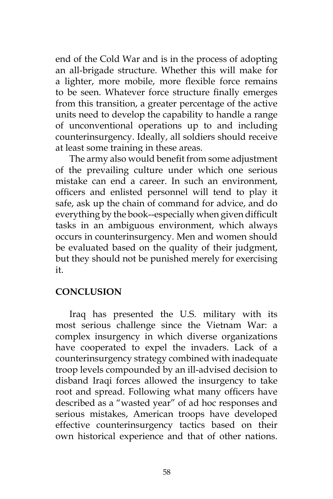end of the Cold War and is in the process of adopting an all-brigade structure. Whether this will make for a lighter, more mobile, more flexible force remains to be seen. Whatever force structure finally emerges from this transition, a greater percentage of the active units need to develop the capability to handle a range of unconventional operations up to and including counterinsurgency. Ideally, all soldiers should receive at least some training in these areas.

The army also would benefit from some adjustment of the prevailing culture under which one serious mistake can end a career. In such an environment, officers and enlisted personnel will tend to play it safe, ask up the chain of command for advice, and do everything by the book--especially when given difficult tasks in an ambiguous environment, which always occurs in counterinsurgency. Men and women should be evaluated based on the quality of their judgment, but they should not be punished merely for exercising it.

## **CONCLUSION**

Iraq has presented the U.S. military with its most serious challenge since the Vietnam War: a complex insurgency in which diverse organizations have cooperated to expel the invaders. Lack of a counterinsurgency strategy combined with inadequate troop levels compounded by an ill-advised decision to disband Iraqi forces allowed the insurgency to take root and spread. Following what many officers have described as a "wasted year" of ad hoc responses and serious mistakes, American troops have developed effective counterinsurgency tactics based on their own historical experience and that of other nations.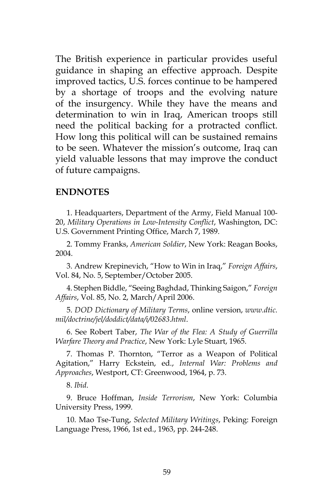The British experience in particular provides useful guidance in shaping an effective approach. Despite improved tactics, U.S. forces continue to be hampered by a shortage of troops and the evolving nature of the insurgency. While they have the means and determination to win in Iraq, American troops still need the political backing for a protracted conflict. How long this political will can be sustained remains to be seen. Whatever the mission's outcome, Iraq can yield valuable lessons that may improve the conduct of future campaigns.

#### **ENDNOTES**

1. Headquarters, Department of the Army, Field Manual 100- 20, *Military Operations in Low-Intensity Conflict*, Washington, DC: U.S. Government Printing Office, March 7, 1989.

2. Tommy Franks, *American Soldier*, New York: Reagan Books, 2004.

3. Andrew Krepinevich, "How to Win in Iraq," *Foreign Affairs*, Vol. 84, No. 5, September/October 2005.

4. Stephen Biddle, "Seeing Baghdad, Thinking Saigon," *Foreign Affairs*, Vol. 85, No. 2, March/April 2006.

5. *DOD Dictionary of Military Terms*, online version, *www.dtic. mil/doctrine/jel/doddict/data/i/02683.html*.

6. See Robert Taber, *The War of the Flea: A Study of Guerrilla Warfare Theory and Practice*, New York: Lyle Stuart, 1965.

7. Thomas P. Thornton, "Terror as a Weapon of Political Agitation," Harry Eckstein, ed., *Internal War: Problems and Approaches*, Westport, CT: Greenwood, 1964, p. 73.

8. *Ibid*.

9. Bruce Hoffman, *Inside Terrorism*, New York: Columbia University Press, 1999.

10. Mao Tse-Tung, *Selected Military Writings*, Peking: Foreign Language Press, 1966, 1st ed., 1963, pp. 244-248.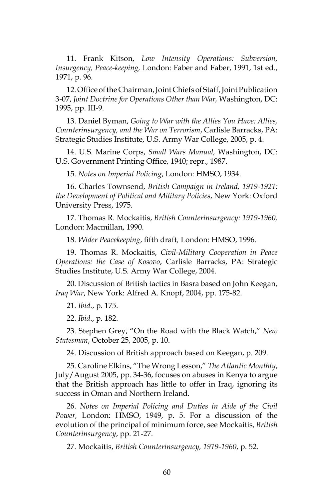11. Frank Kitson, *Low Intensity Operations: Subversion, Insurgency, Peace-keeping,* London: Faber and Faber, 1991, 1st ed., 1971, p. 96.

12. Office of the Chairman, Joint Chiefs of Staff, Joint Publication 3-07, *Joint Doctrine for Operations Other than War,* Washington, DC: 1995, pp. III-9.

13. Daniel Byman, *Going to War with the Allies You Have: Allies, Counterinsurgency, and the War on Terrorism*, Carlisle Barracks, PA: Strategic Studies Institute, U.S. Army War College, 2005, p. 4.

14. U.S. Marine Corps, *Small Wars Manual,* Washington, DC: U.S. Government Printing Office, 1940; repr., 1987.

15. *Notes on Imperial Policing*, London: HMSO, 1934.

16. Charles Townsend, *British Campaign in Ireland, 1919-1921: the Development of Political and Military Policies*, New York: Oxford University Press, 1975.

17. Thomas R. Mockaitis, *British Counterinsurgency: 1919-1960,*  London: Macmillan, 1990.

18. *Wider Peacekeeping*, fifth draft*,* London: HMSO, 1996.

19. Thomas R. Mockaitis, *Civil-Military Cooperation in Peace Operations: the Case of Kosovo*, Carlisle Barracks, PA: Strategic Studies Institute, U.S. Army War College, 2004.

20. Discussion of British tactics in Basra based on John Keegan, *Iraq War*, New York: Alfred A. Knopf, 2004, pp. 175-82.

21. *Ibid*., p. 175.

22. *Ibid*., p. 182.

23. Stephen Grey, "On the Road with the Black Watch," *New Statesman*, October 25, 2005, p. 10.

24. Discussion of British approach based on Keegan, p. 209.

25. Caroline Elkins, "The Wrong Lesson," *The Atlantic Monthly*, July/August 2005, pp. 34-36, focuses on abuses in Kenya to argue that the British approach has little to offer in Iraq, ignoring its success in Oman and Northern Ireland.

26. *Notes on Imperial Policing and Duties in Aide of the Civil Power,* London: HMSO, 1949, p. 5. For a discussion of the evolution of the principal of minimum force, see Mockaitis, *British Counterinsurgency*, pp. 21-27.

27. Mockaitis, *British Counterinsurgency, 1919-1960*, p. 52.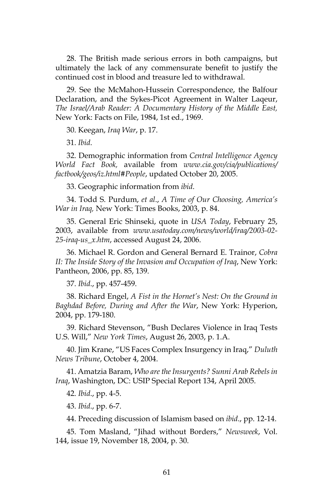28. The British made serious errors in both campaigns, but ultimately the lack of any commensurate benefit to justify the continued cost in blood and treasure led to withdrawal.

29. See the McMahon-Hussein Correspondence, the Balfour Declaration, and the Sykes-Picot Agreement in Walter Laqeur, *The Israel/Arab Reader: A Documentary History of the Middle East,*  New York: Facts on File, 1984, 1st ed., 1969.

30. Keegan, *Iraq War*, p. 17.

31. *Ibid*.

32. Demographic information from *Central Intelligence Agency World Fact Book,* available from *www.cia.gov/cia/publications/ factbook/geos/iz.html#People*, updated October 20, 2005.

33. Geographic information from *ibid*.

34. Todd S. Purdum, *et al*., *A Time of Our Choosing, America's War in Iraq,* New York: Times Books, 2003, p. 84.

35. General Eric Shinseki, quote in *USA Today*, February 25, 2003, available from *www.usatoday.com/news/world/iraq/2003-02- 25-iraq-us\_x.htm*, accessed August 24, 2006.

36. Michael R. Gordon and General Bernard E. Trainor, *Cobra II: The Inside Story of the Invasion and Occupation of Iraq*, New York: Pantheon, 2006, pp. 85, 139.

37. *Ibid*., pp. 457-459.

38. Richard Engel, *A Fist in the Hornet's Nest: On the Ground in Baghdad Before, During and After the War*, New York: Hyperion, 2004, pp. 179-180.

39. Richard Stevenson, "Bush Declares Violence in Iraq Tests U.S. Will," *New York Times*, August 26, 2003, p. 1.A.

40. Jim Krane, "US Faces Complex Insurgency in Iraq," *Duluth News Tribune*, October 4, 2004.

41. Amatzia Baram, *Who are the Insurgents? Sunni Arab Rebels in Iraq*, Washington, DC: USIP Special Report 134, April 2005.

42. *Ibid*., pp. 4-5.

43. *Ibid*., pp. 6-7.

44. Preceding discussion of Islamism based on *ibid*., pp. 12-14.

45. Tom Masland, "Jihad without Borders," *Newsweek*, Vol. 144, issue 19, November 18, 2004, p. 30.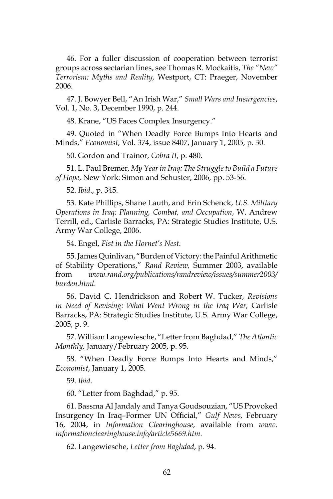46. For a fuller discussion of cooperation between terrorist groups across sectarian lines, see Thomas R. Mockaitis, *The "New" Terrorism: Myths and Reality,* Westport, CT: Praeger, November 2006.

47. J. Bowyer Bell, "An Irish War," *Small Wars and Insurgencies*, Vol. 1, No. 3, December 1990, p. 244.

48. Krane, "US Faces Complex Insurgency."

49. Quoted in "When Deadly Force Bumps Into Hearts and Minds," *Economist*, Vol. 374, issue 8407, January 1, 2005, p. 30.

50. Gordon and Trainor, *Cobra II*, p. 480.

51. L. Paul Bremer, *My Year in Iraq: The Struggle to Build a Future of Hope*, New York: Simon and Schuster, 2006, pp. 53-56.

52. *Ibid*., p. 345.

53. Kate Phillips, Shane Lauth, and Erin Schenck, *U.S. Military Operations in Iraq: Planning, Combat, and Occupation*, W. Andrew Terrill, ed., Carlisle Barracks, PA: Strategic Studies Institute, U.S. Army War College, 2006.

54. Engel, *Fist in the Hornet's Nest*.

55. James Quinlivan, "Burden of Victory: the Painful Arithmetic of Stability Operations," *Rand Review,* Summer 2003, available from *www.rand.org/publications/randreview/issues/summer2003/ burden.html*.

56. David C. Hendrickson and Robert W. Tucker, *Revisions in Need of Revising: What Went Wrong in the Iraq War,* Carlisle Barracks, PA: Strategic Studies Institute, U.S. Army War College, 2005, p. 9.

57. William Langewiesche, "Letter from Baghdad," *The Atlantic Monthly,* January/February 2005, p. 95.

58. "When Deadly Force Bumps Into Hearts and Minds," *Economist*, January 1, 2005.

59. *Ibid*.

60. "Letter from Baghdad," p. 95.

61. Bassma Al Jandaly and Tanya Goudsouzian, "US Provoked Insurgency In Iraq–Former UN Official," *Gulf News,* February 16, 2004, in *Information Clearinghouse*, available from *www. informationclearinghouse.info/article5669.htm*.

62. Langewiesche, *Letter from Baghdad*, p. 94.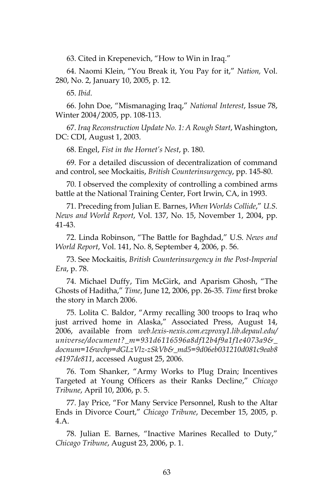63. Cited in Krepenevich, "How to Win in Iraq."

64. Naomi Klein, "You Break it, You Pay for it," *Nation,* Vol. 280, No. 2, January 10, 2005, p. 12.

65. *Ibid*.

66. John Doe, "Mismanaging Iraq," *National Interest*, Issue 78, Winter 2004/2005, pp. 108-113.

67. *Iraq Reconstruction Update No. 1: A Rough Start*, Washington, DC: CDI, August 1, 2003.

68. Engel, *Fist in the Hornet's Nest*, p. 180.

69. For a detailed discussion of decentralization of command and control, see Mockaitis, *British Counterinsurgency*, pp. 145-80.

70. I observed the complexity of controlling a combined arms battle at the National Training Center, Fort Irwin, CA, in 1993.

71. Preceding from Julian E. Barnes, *When Worlds Collide*," *U.S. News and World Report*, Vol. 137, No. 15, November 1, 2004, pp. 41-43.

72. Linda Robinson, "The Battle for Baghdad," U.S. *News and World Report*, Vol. 141, No. 8, September 4, 2006, p. 56.

73. See Mockaitis, *British Counterinsurgency in the Post-Imperial Era*, p. 78.

74. Michael Duffy, Tim McGirk, and Aparism Ghosh, "The Ghosts of Haditha," *Time*, June 12, 2006, pp. 26-35. *Time* first broke the story in March 2006.

75. Lolita C. Baldor, "Army recalling 300 troops to Iraq who just arrived home in Alaska," Associated Press, August 14, 2006, available from *web.lexis-nexis.com.ezproxy1.lib.depaul.edu/ universe/document?\_m=931d6116596a8df12b4f9a1f1e4073a9&\_ docnum=1&wchp=dGLzVlz-zSkVb&\_md5=9d06eb031210d081c9eab8 e4197de811*, accessed August 25, 2006.

76. Tom Shanker, "Army Works to Plug Drain; Incentives Targeted at Young Officers as their Ranks Decline," *Chicago Tribune*, April 10, 2006, p. 5.

77. Jay Price, "For Many Service Personnel, Rush to the Altar Ends in Divorce Court," *Chicago Tribune*, December 15, 2005, p. 4.A.

78. Julian E. Barnes, "Inactive Marines Recalled to Duty," *Chicago Tribune*, August 23, 2006, p. 1.